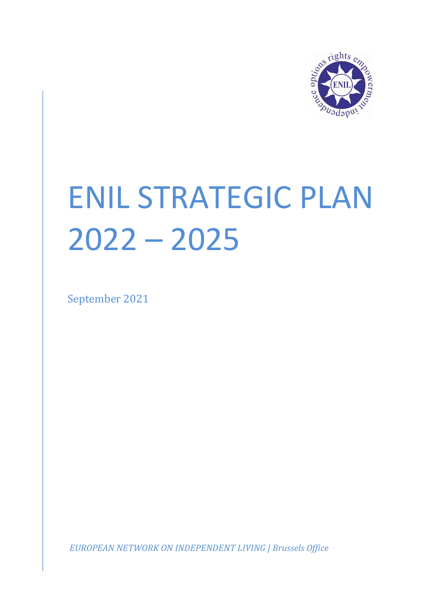

# ENIL STRATEGIC PLAN 2022 – 2025

September 2021

*EUROPEAN NETWORK ON INDEPENDENT LIVING | Brussels Office*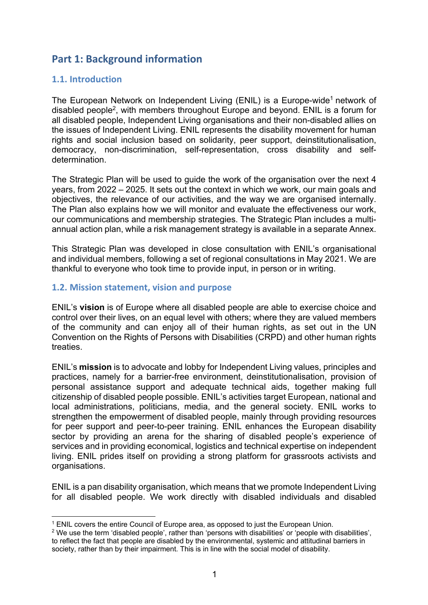# **Part 1: Background information**

## **1.1. Introduction**

The European Network on Independent Living (ENIL) is a Europe-wide<sup>1</sup> network of disabled people2, with members throughout Europe and beyond. ENIL is a forum for all disabled people, Independent Living organisations and their non-disabled allies on the issues of Independent Living. ENIL represents the disability movement for human rights and social inclusion based on solidarity, peer support, deinstitutionalisation, democracy, non-discrimination, self-representation, cross disability and selfdetermination.

The Strategic Plan will be used to guide the work of the organisation over the next 4 years, from 2022 – 2025. It sets out the context in which we work, our main goals and objectives, the relevance of our activities, and the way we are organised internally. The Plan also explains how we will monitor and evaluate the effectiveness our work, our communications and membership strategies. The Strategic Plan includes a multiannual action plan, while a risk management strategy is available in a separate Annex.

This Strategic Plan was developed in close consultation with ENIL's organisational and individual members, following a set of regional consultations in May 2021. We are thankful to everyone who took time to provide input, in person or in writing.

## **1.2. Mission statement, vision and purpose**

ENIL's **vision** is of Europe where all disabled people are able to exercise choice and control over their lives, on an equal level with others; where they are valued members of the community and can enjoy all of their human rights, as set out in the UN Convention on the Rights of Persons with Disabilities (CRPD) and other human rights treaties.

ENIL's **mission** is to advocate and lobby for Independent Living values, principles and practices, namely for a barrier-free environment, deinstitutionalisation, provision of personal assistance support and adequate technical aids, together making full citizenship of disabled people possible. ENIL's activities target European, national and local administrations, politicians, media, and the general society. ENIL works to strengthen the empowerment of disabled people, mainly through providing resources for peer support and peer-to-peer training. ENIL enhances the European disability sector by providing an arena for the sharing of disabled people's experience of services and in providing economical, logistics and technical expertise on independent living. ENIL prides itself on providing a strong platform for grassroots activists and organisations.

ENIL is a pan disability organisation, which means that we promote Independent Living for all disabled people. We work directly with disabled individuals and disabled

<sup>1</sup> ENIL covers the entire Council of Europe area, as opposed to just the European Union.

<sup>2</sup> We use the term 'disabled people', rather than 'persons with disabilities' or 'people with disabilities', to reflect the fact that people are disabled by the environmental, systemic and attitudinal barriers in society, rather than by their impairment. This is in line with the social model of disability.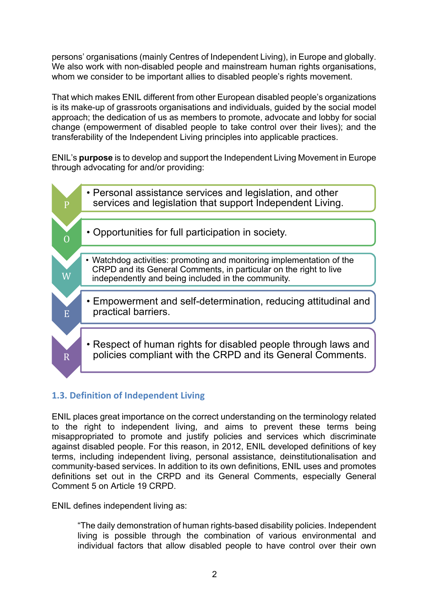persons' organisations (mainly Centres of Independent Living), in Europe and globally. We also work with non-disabled people and mainstream human rights organisations, whom we consider to be important allies to disabled people's rights movement.

That which makes ENIL different from other European disabled people's organizations is its make-up of grassroots organisations and individuals, guided by the social model approach; the dedication of us as members to promote, advocate and lobby for social change (empowerment of disabled people to take control over their lives); and the transferability of the Independent Living principles into applicable practices.

ENIL's **purpose** is to develop and support the Independent Living Movement in Europe through advocating for and/or providing:



# **1.3. Definition of Independent Living**

ENIL places great importance on the correct understanding on the terminology related to the right to independent living, and aims to prevent these terms being misappropriated to promote and justify policies and services which discriminate against disabled people. For this reason, in 2012, ENIL developed definitions of key terms, including independent living, personal assistance, deinstitutionalisation and community-based services. In addition to its own definitions, ENIL uses and promotes definitions set out in the CRPD and its General Comments, especially General Comment 5 on Article 19 CRPD.

ENIL defines independent living as:

"The daily demonstration of human rights-based disability policies. Independent living is possible through the combination of various environmental and individual factors that allow disabled people to have control over their own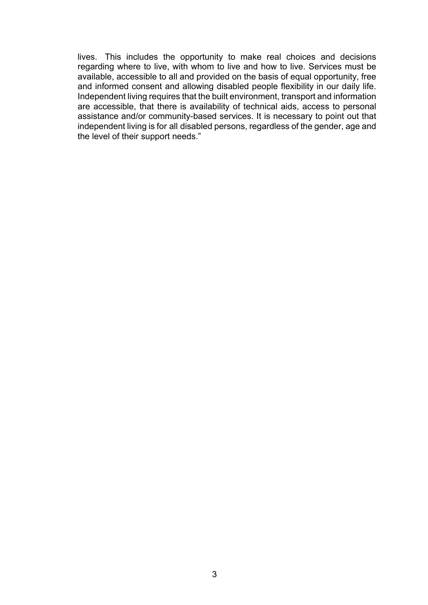lives. This includes the opportunity to make real choices and decisions regarding where to live, with whom to live and how to live. Services must be available, accessible to all and provided on the basis of equal opportunity, free and informed consent and allowing disabled people flexibility in our daily life. Independent living requires that the built environment, transport and information are accessible, that there is availability of technical aids, access to personal assistance and/or community-based services. It is necessary to point out that independent living is for all disabled persons, regardless of the gender, age and the level of their support needs."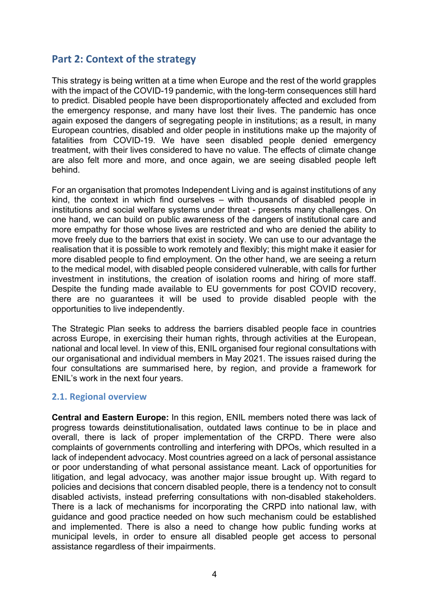# **Part 2: Context of the strategy**

This strategy is being written at a time when Europe and the rest of the world grapples with the impact of the COVID-19 pandemic, with the long-term consequences still hard to predict. Disabled people have been disproportionately affected and excluded from the emergency response, and many have lost their lives. The pandemic has once again exposed the dangers of segregating people in institutions; as a result, in many European countries, disabled and older people in institutions make up the majority of fatalities from COVID-19. We have seen disabled people denied emergency treatment, with their lives considered to have no value. The effects of climate change are also felt more and more, and once again, we are seeing disabled people left behind.

For an organisation that promotes Independent Living and is against institutions of any kind, the context in which find ourselves – with thousands of disabled people in institutions and social welfare systems under threat - presents many challenges. On one hand, we can build on public awareness of the dangers of institutional care and more empathy for those whose lives are restricted and who are denied the ability to move freely due to the barriers that exist in society. We can use to our advantage the realisation that it is possible to work remotely and flexibly; this might make it easier for more disabled people to find employment. On the other hand, we are seeing a return to the medical model, with disabled people considered vulnerable, with calls for further investment in institutions, the creation of isolation rooms and hiring of more staff. Despite the funding made available to EU governments for post COVID recovery, there are no guarantees it will be used to provide disabled people with the opportunities to live independently.

The Strategic Plan seeks to address the barriers disabled people face in countries across Europe, in exercising their human rights, through activities at the European, national and local level. In view of this, ENIL organised four regional consultations with our organisational and individual members in May 2021. The issues raised during the four consultations are summarised here, by region, and provide a framework for ENIL's work in the next four years.

#### **2.1. Regional overview**

**Central and Eastern Europe:** In this region, ENIL members noted there was lack of progress towards deinstitutionalisation, outdated laws continue to be in place and overall, there is lack of proper implementation of the CRPD. There were also complaints of governments controlling and interfering with DPOs, which resulted in a lack of independent advocacy. Most countries agreed on a lack of personal assistance or poor understanding of what personal assistance meant. Lack of opportunities for litigation, and legal advocacy, was another major issue brought up. With regard to policies and decisions that concern disabled people, there is a tendency not to consult disabled activists, instead preferring consultations with non-disabled stakeholders. There is a lack of mechanisms for incorporating the CRPD into national law, with guidance and good practice needed on how such mechanism could be established and implemented. There is also a need to change how public funding works at municipal levels, in order to ensure all disabled people get access to personal assistance regardless of their impairments.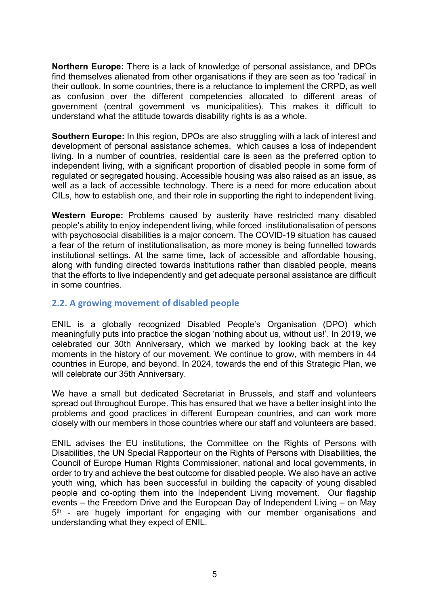**Northern Europe:** There is a lack of knowledge of personal assistance, and DPOs find themselves alienated from other organisations if they are seen as too 'radical' in their outlook. In some countries, there is a reluctance to implement the CRPD, as well as confusion over the different competencies allocated to different areas of government (central government vs municipalities). This makes it difficult to understand what the attitude towards disability rights is as a whole.

**Southern Europe:** In this region, DPOs are also struggling with a lack of interest and development of personal assistance schemes, which causes a loss of independent living. In a number of countries, residential care is seen as the preferred option to independent living, with a significant proportion of disabled people in some form of regulated or segregated housing. Accessible housing was also raised as an issue, as well as a lack of accessible technology. There is a need for more education about CILs, how to establish one, and their role in supporting the right to independent living.

**Western Europe:** Problems caused by austerity have restricted many disabled people's ability to enjoy independent living, while forced institutionalisation of persons with psychosocial disabilities is a major concern. The COVID-19 situation has caused a fear of the return of institutionalisation, as more money is being funnelled towards institutional settings. At the same time, lack of accessible and affordable housing, along with funding directed towards institutions rather than disabled people, means that the efforts to live independently and get adequate personal assistance are difficult in some countries.

## **2.2. A growing movement of disabled people**

ENIL is a globally recognized Disabled People's Organisation (DPO) which meaningfully puts into practice the slogan 'nothing about us, without us!'. In 2019, we celebrated our 30th Anniversary, which we marked by looking back at the key moments in the history of our movement. We continue to grow, with members in 44 countries in Europe, and beyond. In 2024, towards the end of this Strategic Plan, we will celebrate our 35th Anniversary.

We have a small but dedicated Secretariat in Brussels, and staff and volunteers spread out throughout Europe. This has ensured that we have a better insight into the problems and good practices in different European countries, and can work more closely with our members in those countries where our staff and volunteers are based.

ENIL advises the EU institutions, the Committee on the Rights of Persons with Disabilities, the UN Special Rapporteur on the Rights of Persons with Disabilities, the Council of Europe Human Rights Commissioner, national and local governments, in order to try and achieve the best outcome for disabled people. We also have an active youth wing, which has been successful in building the capacity of young disabled people and co-opting them into the Independent Living movement. Our flagship events – the Freedom Drive and the European Day of Independent Living – on May 5<sup>th</sup> - are hugely important for engaging with our member organisations and understanding what they expect of ENIL.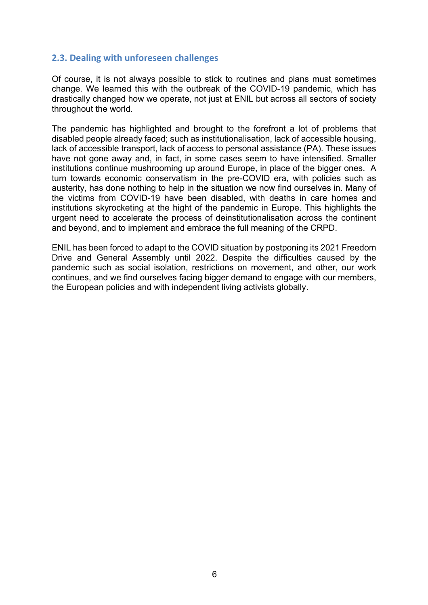## **2.3. Dealing with unforeseen challenges**

Of course, it is not always possible to stick to routines and plans must sometimes change. We learned this with the outbreak of the COVID-19 pandemic, which has drastically changed how we operate, not just at ENIL but across all sectors of society throughout the world.

The pandemic has highlighted and brought to the forefront a lot of problems that disabled people already faced; such as institutionalisation, lack of accessible housing, lack of accessible transport, lack of access to personal assistance (PA). These issues have not gone away and, in fact, in some cases seem to have intensified. Smaller institutions continue mushrooming up around Europe, in place of the bigger ones. A turn towards economic conservatism in the pre-COVID era, with policies such as austerity, has done nothing to help in the situation we now find ourselves in. Many of the victims from COVID-19 have been disabled, with deaths in care homes and institutions skyrocketing at the hight of the pandemic in Europe. This highlights the urgent need to accelerate the process of deinstitutionalisation across the continent and beyond, and to implement and embrace the full meaning of the CRPD.

ENIL has been forced to adapt to the COVID situation by postponing its 2021 Freedom Drive and General Assembly until 2022. Despite the difficulties caused by the pandemic such as social isolation, restrictions on movement, and other, our work continues, and we find ourselves facing bigger demand to engage with our members, the European policies and with independent living activists globally.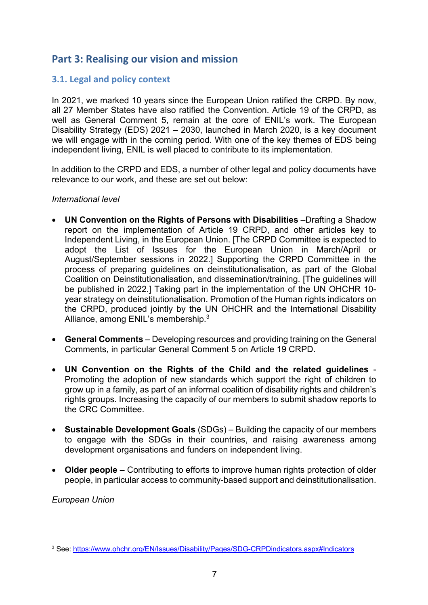# **Part 3: Realising our vision and mission**

## **3.1. Legal and policy context**

In 2021, we marked 10 years since the European Union ratified the CRPD. By now, all 27 Member States have also ratified the Convention. Article 19 of the CRPD, as well as General Comment 5, remain at the core of ENIL's work. The European Disability Strategy (EDS) 2021 – 2030, launched in March 2020, is a key document we will engage with in the coming period. With one of the key themes of EDS being independent living, ENIL is well placed to contribute to its implementation.

In addition to the CRPD and EDS, a number of other legal and policy documents have relevance to our work, and these are set out below:

#### *International level*

- **UN Convention on the Rights of Persons with Disabilities** –Drafting a Shadow report on the implementation of Article 19 CRPD, and other articles key to Independent Living, in the European Union. [The CRPD Committee is expected to adopt the List of Issues for the European Union in March/April or August/September sessions in 2022.] Supporting the CRPD Committee in the process of preparing guidelines on deinstitutionalisation, as part of the Global Coalition on Deinstitutionalisation, and dissemination/training. [The guidelines will be published in 2022.] Taking part in the implementation of the UN OHCHR 10 year strategy on deinstitutionalisation. Promotion of the Human rights indicators on the CRPD, produced jointly by the UN OHCHR and the International Disability Alliance, among ENIL's membership.3
- **General Comments** Developing resources and providing training on the General Comments, in particular General Comment 5 on Article 19 CRPD.
- **UN Convention on the Rights of the Child and the related guidelines** Promoting the adoption of new standards which support the right of children to grow up in a family, as part of an informal coalition of disability rights and children's rights groups. Increasing the capacity of our members to submit shadow reports to the CRC Committee.
- **Sustainable Development Goals** (SDGs) Building the capacity of our members to engage with the SDGs in their countries, and raising awareness among development organisations and funders on independent living.
- **Older people –** Contributing to efforts to improve human rights protection of older people, in particular access to community-based support and deinstitutionalisation.

*European Union*

<sup>3</sup> See: https://www.ohchr.org/EN/Issues/Disability/Pages/SDG-CRPDindicators.aspx#Indicators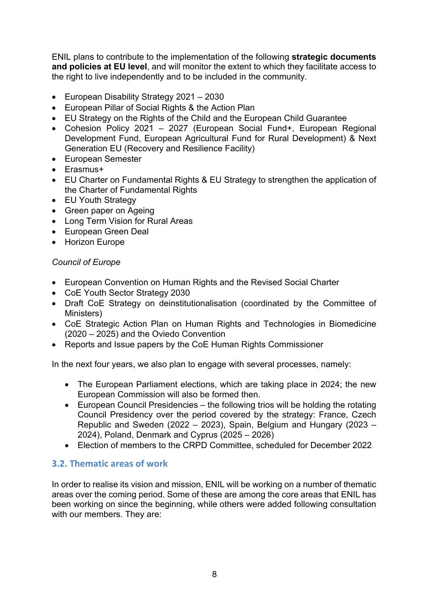ENIL plans to contribute to the implementation of the following **strategic documents and policies at EU level**, and will monitor the extent to which they facilitate access to the right to live independently and to be included in the community.

- European Disability Strategy 2021 2030
- European Pillar of Social Rights & the Action Plan
- EU Strategy on the Rights of the Child and the European Child Guarantee
- Cohesion Policy 2021 2027 (European Social Fund+, European Regional Development Fund, European Agricultural Fund for Rural Development) & Next Generation EU (Recovery and Resilience Facility)
- European Semester
- Erasmus+
- EU Charter on Fundamental Rights & EU Strategy to strengthen the application of the Charter of Fundamental Rights
- EU Youth Strategy
- Green paper on Ageing
- Long Term Vision for Rural Areas
- European Green Deal
- Horizon Europe

## *Council of Europe*

- European Convention on Human Rights and the Revised Social Charter
- CoE Youth Sector Strategy 2030
- Draft CoE Strategy on deinstitutionalisation (coordinated by the Committee of Ministers)
- CoE Strategic Action Plan on Human Rights and Technologies in Biomedicine (2020 – 2025) and the Oviedo Convention
- Reports and Issue papers by the CoE Human Rights Commissioner

In the next four years, we also plan to engage with several processes, namely:

- The European Parliament elections, which are taking place in 2024; the new European Commission will also be formed then.
- European Council Presidencies the following trios will be holding the rotating Council Presidency over the period covered by the strategy: France, Czech Republic and Sweden (2022 – 2023), Spain, Belgium and Hungary (2023 – 2024), Poland, Denmark and Cyprus (2025 – 2026)
- Election of members to the CRPD Committee, scheduled for December 2022

## **3.2. Thematic areas of work**

In order to realise its vision and mission, ENIL will be working on a number of thematic areas over the coming period. Some of these are among the core areas that ENIL has been working on since the beginning, while others were added following consultation with our members. They are: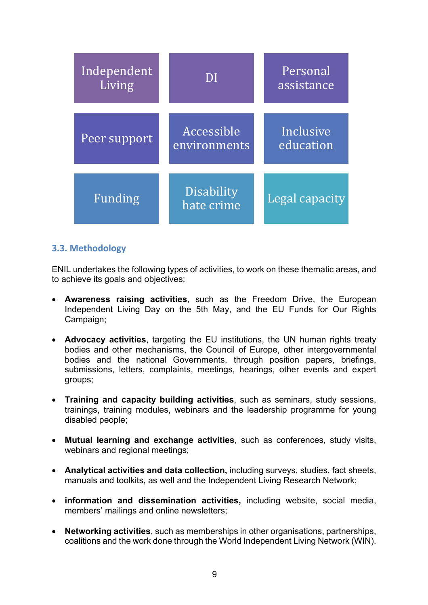| Independent<br>Living | DI                         | Personal<br>assistance |
|-----------------------|----------------------------|------------------------|
| Peer support          | Accessible<br>environments | Inclusive<br>education |
| <b>Funding</b>        | Disability<br>hate crime   | Legal capacity         |

## **3.3. Methodology**

ENIL undertakes the following types of activities, to work on these thematic areas, and to achieve its goals and objectives:

- **Awareness raising activities**, such as the Freedom Drive, the European Independent Living Day on the 5th May, and the EU Funds for Our Rights Campaign;
- **Advocacy activities**, targeting the EU institutions, the UN human rights treaty bodies and other mechanisms, the Council of Europe, other intergovernmental bodies and the national Governments, through position papers, briefings, submissions, letters, complaints, meetings, hearings, other events and expert groups;
- **Training and capacity building activities**, such as seminars, study sessions, trainings, training modules, webinars and the leadership programme for young disabled people;
- **Mutual learning and exchange activities**, such as conferences, study visits, webinars and regional meetings;
- **Analytical activities and data collection,** including surveys, studies, fact sheets, manuals and toolkits, as well and the Independent Living Research Network;
- **information and dissemination activities,** including website, social media, members' mailings and online newsletters;
- **Networking activities**, such as memberships in other organisations, partnerships, coalitions and the work done through the World Independent Living Network (WIN).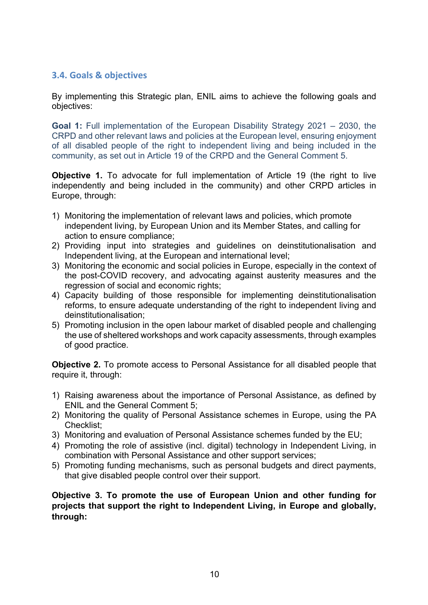## **3.4. Goals & objectives**

By implementing this Strategic plan, ENIL aims to achieve the following goals and objectives:

**Goal 1:** Full implementation of the European Disability Strategy 2021 – 2030, the CRPD and other relevant laws and policies at the European level, ensuring enjoyment of all disabled people of the right to independent living and being included in the community, as set out in Article 19 of the CRPD and the General Comment 5.

**Objective 1.** To advocate for full implementation of Article 19 (the right to live independently and being included in the community) and other CRPD articles in Europe, through:

- 1) Monitoring the implementation of relevant laws and policies, which promote independent living, by European Union and its Member States, and calling for action to ensure compliance;
- 2) Providing input into strategies and guidelines on deinstitutionalisation and Independent living, at the European and international level;
- 3) Monitoring the economic and social policies in Europe, especially in the context of the post-COVID recovery, and advocating against austerity measures and the regression of social and economic rights;
- 4) Capacity building of those responsible for implementing deinstitutionalisation reforms, to ensure adequate understanding of the right to independent living and deinstitutionalisation;
- 5) Promoting inclusion in the open labour market of disabled people and challenging the use of sheltered workshops and work capacity assessments, through examples of good practice.

**Objective 2.** To promote access to Personal Assistance for all disabled people that require it, through:

- 1) Raising awareness about the importance of Personal Assistance, as defined by ENIL and the General Comment 5;
- 2) Monitoring the quality of Personal Assistance schemes in Europe, using the PA Checklist;
- 3) Monitoring and evaluation of Personal Assistance schemes funded by the EU;
- 4) Promoting the role of assistive (incl. digital) technology in Independent Living, in combination with Personal Assistance and other support services;
- 5) Promoting funding mechanisms, such as personal budgets and direct payments, that give disabled people control over their support.

**Objective 3. To promote the use of European Union and other funding for projects that support the right to Independent Living, in Europe and globally, through:**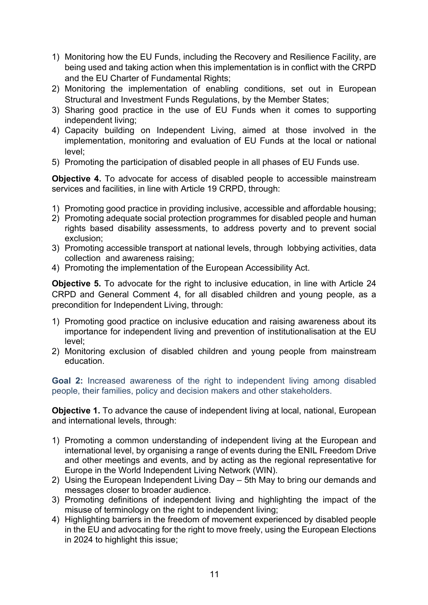- 1) Monitoring how the EU Funds, including the Recovery and Resilience Facility, are being used and taking action when this implementation is in conflict with the CRPD and the EU Charter of Fundamental Rights;
- 2) Monitoring the implementation of enabling conditions, set out in European Structural and Investment Funds Regulations, by the Member States;
- 3) Sharing good practice in the use of EU Funds when it comes to supporting independent living;
- 4) Capacity building on Independent Living, aimed at those involved in the implementation, monitoring and evaluation of EU Funds at the local or national level;
- 5) Promoting the participation of disabled people in all phases of EU Funds use.

**Objective 4.** To advocate for access of disabled people to accessible mainstream services and facilities, in line with Article 19 CRPD, through:

- 1) Promoting good practice in providing inclusive, accessible and affordable housing;
- 2) Promoting adequate social protection programmes for disabled people and human rights based disability assessments, to address poverty and to prevent social exclusion;
- 3) Promoting accessible transport at national levels, through lobbying activities, data collection and awareness raising;
- 4) Promoting the implementation of the European Accessibility Act.

**Objective 5.** To advocate for the right to inclusive education, in line with Article 24 CRPD and General Comment 4, for all disabled children and young people, as a precondition for Independent Living, through:

- 1) Promoting good practice on inclusive education and raising awareness about its importance for independent living and prevention of institutionalisation at the EU level;
- 2) Monitoring exclusion of disabled children and young people from mainstream education.

**Goal 2:** Increased awareness of the right to independent living among disabled people, their families, policy and decision makers and other stakeholders.

**Objective 1.** To advance the cause of independent living at local, national, European and international levels, through:

- 1) Promoting a common understanding of independent living at the European and international level, by organising a range of events during the ENIL Freedom Drive and other meetings and events, and by acting as the regional representative for Europe in the World Independent Living Network (WIN).
- 2) Using the European Independent Living Day 5th May to bring our demands and messages closer to broader audience.
- 3) Promoting definitions of independent living and highlighting the impact of the misuse of terminology on the right to independent living;
- 4) Highlighting barriers in the freedom of movement experienced by disabled people in the EU and advocating for the right to move freely, using the European Elections in 2024 to highlight this issue;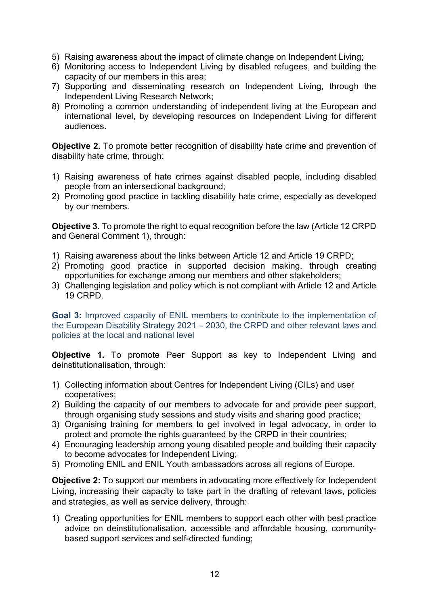- 5) Raising awareness about the impact of climate change on Independent Living;
- 6) Monitoring access to Independent Living by disabled refugees, and building the capacity of our members in this area;
- 7) Supporting and disseminating research on Independent Living, through the Independent Living Research Network;
- 8) Promoting a common understanding of independent living at the European and international level, by developing resources on Independent Living for different audiences.

**Objective 2.** To promote better recognition of disability hate crime and prevention of disability hate crime, through:

- 1) Raising awareness of hate crimes against disabled people, including disabled people from an intersectional background;
- 2) Promoting good practice in tackling disability hate crime, especially as developed by our members.

**Objective 3.** To promote the right to equal recognition before the law (Article 12 CRPD) and General Comment 1), through:

- 1) Raising awareness about the links between Article 12 and Article 19 CRPD;
- 2) Promoting good practice in supported decision making, through creating opportunities for exchange among our members and other stakeholders;
- 3) Challenging legislation and policy which is not compliant with Article 12 and Article 19 CRPD.

**Goal 3:** Improved capacity of ENIL members to contribute to the implementation of the European Disability Strategy 2021 – 2030, the CRPD and other relevant laws and policies at the local and national level

**Objective 1.** To promote Peer Support as key to Independent Living and deinstitutionalisation, through:

- 1) Collecting information about Centres for Independent Living (CILs) and user cooperatives;
- 2) Building the capacity of our members to advocate for and provide peer support, through organising study sessions and study visits and sharing good practice;
- 3) Organising training for members to get involved in legal advocacy, in order to protect and promote the rights guaranteed by the CRPD in their countries;
- 4) Encouraging leadership among young disabled people and building their capacity to become advocates for Independent Living;
- 5) Promoting ENIL and ENIL Youth ambassadors across all regions of Europe.

**Objective 2:** To support our members in advocating more effectively for Independent Living, increasing their capacity to take part in the drafting of relevant laws, policies and strategies, as well as service delivery, through:

1) Creating opportunities for ENIL members to support each other with best practice advice on deinstitutionalisation, accessible and affordable housing, communitybased support services and self-directed funding;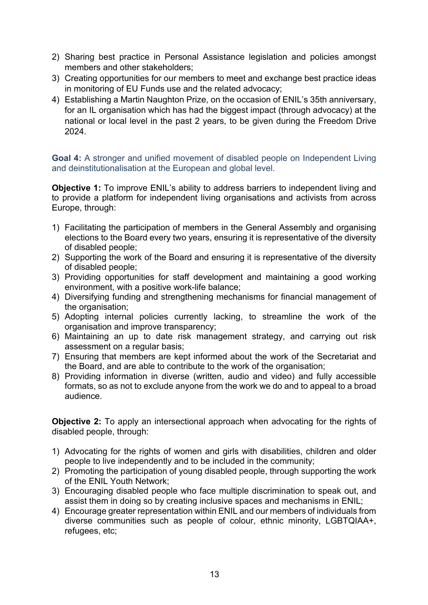- 2) Sharing best practice in Personal Assistance legislation and policies amongst members and other stakeholders;
- 3) Creating opportunities for our members to meet and exchange best practice ideas in monitoring of EU Funds use and the related advocacy;
- 4) Establishing a Martin Naughton Prize, on the occasion of ENIL's 35th anniversary, for an IL organisation which has had the biggest impact (through advocacy) at the national or local level in the past 2 years, to be given during the Freedom Drive 2024.

**Goal 4:** A stronger and unified movement of disabled people on Independent Living and deinstitutionalisation at the European and global level.

**Objective 1:** To improve ENIL's ability to address barriers to independent living and to provide a platform for independent living organisations and activists from across Europe, through:

- 1) Facilitating the participation of members in the General Assembly and organising elections to the Board every two years, ensuring it is representative of the diversity of disabled people;
- 2) Supporting the work of the Board and ensuring it is representative of the diversity of disabled people;
- 3) Providing opportunities for staff development and maintaining a good working environment, with a positive work-life balance;
- 4) Diversifying funding and strengthening mechanisms for financial management of the organisation;
- 5) Adopting internal policies currently lacking, to streamline the work of the organisation and improve transparency;
- 6) Maintaining an up to date risk management strategy, and carrying out risk assessment on a regular basis;
- 7) Ensuring that members are kept informed about the work of the Secretariat and the Board, and are able to contribute to the work of the organisation;
- 8) Providing information in diverse (written, audio and video) and fully accessible formats, so as not to exclude anyone from the work we do and to appeal to a broad audience.

**Objective 2:** To apply an intersectional approach when advocating for the rights of disabled people, through:

- 1) Advocating for the rights of women and girls with disabilities, children and older people to live independently and to be included in the community;
- 2) Promoting the participation of young disabled people, through supporting the work of the ENIL Youth Network;
- 3) Encouraging disabled people who face multiple discrimination to speak out, and assist them in doing so by creating inclusive spaces and mechanisms in ENIL;
- 4) Encourage greater representation within ENIL and our members of individuals from diverse communities such as people of colour, ethnic minority, LGBTQIAA+, refugees, etc;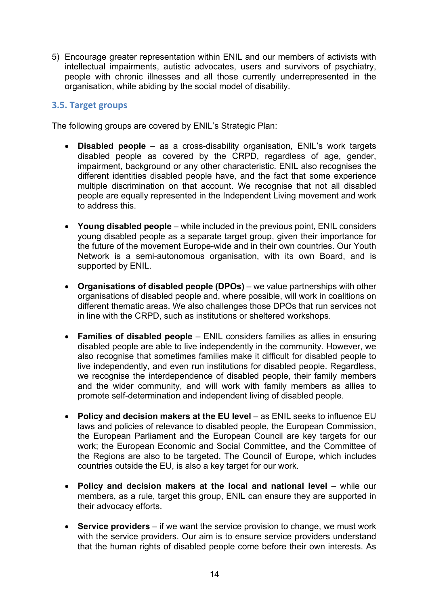5) Encourage greater representation within ENIL and our members of activists with intellectual impairments, autistic advocates, users and survivors of psychiatry, people with chronic illnesses and all those currently underrepresented in the organisation, while abiding by the social model of disability.

## **3.5. Target groups**

The following groups are covered by ENIL's Strategic Plan:

- **Disabled people** as a cross-disability organisation, ENIL's work targets disabled people as covered by the CRPD, regardless of age, gender, impairment, background or any other characteristic. ENIL also recognises the different identities disabled people have, and the fact that some experience multiple discrimination on that account. We recognise that not all disabled people are equally represented in the Independent Living movement and work to address this.
- **Young disabled people** while included in the previous point, ENIL considers young disabled people as a separate target group, given their importance for the future of the movement Europe-wide and in their own countries. Our Youth Network is a semi-autonomous organisation, with its own Board, and is supported by ENIL.
- **Organisations of disabled people (DPOs)** we value partnerships with other organisations of disabled people and, where possible, will work in coalitions on different thematic areas. We also challenges those DPOs that run services not in line with the CRPD, such as institutions or sheltered workshops.
- **Families of disabled people** ENIL considers families as allies in ensuring disabled people are able to live independently in the community. However, we also recognise that sometimes families make it difficult for disabled people to live independently, and even run institutions for disabled people. Regardless, we recognise the interdependence of disabled people, their family members and the wider community, and will work with family members as allies to promote self-determination and independent living of disabled people.
- **Policy and decision makers at the EU level** as ENIL seeks to influence EU laws and policies of relevance to disabled people, the European Commission, the European Parliament and the European Council are key targets for our work; the European Economic and Social Committee, and the Committee of the Regions are also to be targeted. The Council of Europe, which includes countries outside the EU, is also a key target for our work.
- **Policy and decision makers at the local and national level** while our members, as a rule, target this group, ENIL can ensure they are supported in their advocacy efforts.
- **Service providers**  if we want the service provision to change, we must work with the service providers. Our aim is to ensure service providers understand that the human rights of disabled people come before their own interests. As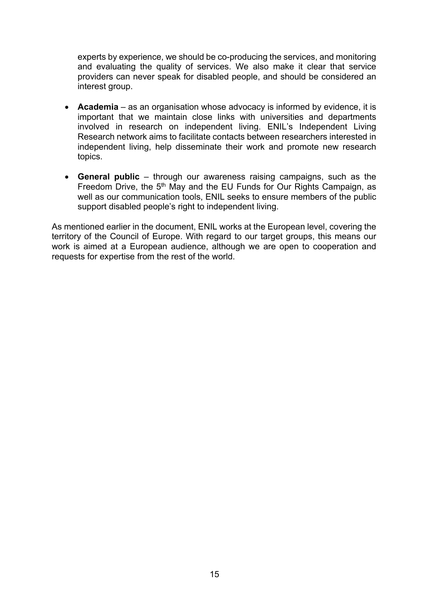experts by experience, we should be co-producing the services, and monitoring and evaluating the quality of services. We also make it clear that service providers can never speak for disabled people, and should be considered an interest group.

- **Academia**  as an organisation whose advocacy is informed by evidence, it is important that we maintain close links with universities and departments involved in research on independent living. ENIL's Independent Living Research network aims to facilitate contacts between researchers interested in independent living, help disseminate their work and promote new research topics.
- **General public**  through our awareness raising campaigns, such as the Freedom Drive, the 5<sup>th</sup> May and the EU Funds for Our Rights Campaign, as well as our communication tools, ENIL seeks to ensure members of the public support disabled people's right to independent living.

As mentioned earlier in the document, ENIL works at the European level, covering the territory of the Council of Europe. With regard to our target groups, this means our work is aimed at a European audience, although we are open to cooperation and requests for expertise from the rest of the world.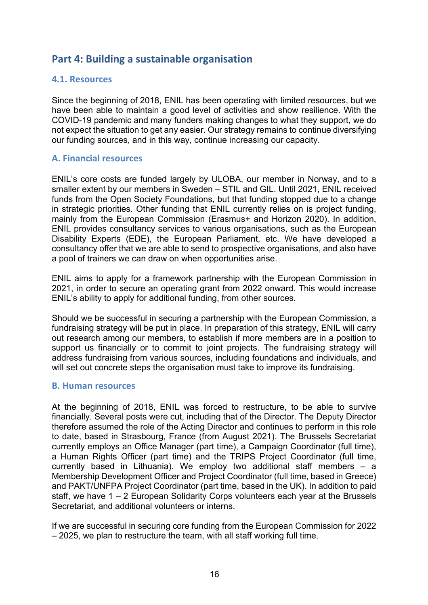# **Part 4: Building a sustainable organisation**

## **4.1. Resources**

Since the beginning of 2018, ENIL has been operating with limited resources, but we have been able to maintain a good level of activities and show resilience. With the COVID-19 pandemic and many funders making changes to what they support, we do not expect the situation to get any easier. Our strategy remains to continue diversifying our funding sources, and in this way, continue increasing our capacity.

## **A. Financial resources**

ENIL's core costs are funded largely by ULOBA, our member in Norway, and to a smaller extent by our members in Sweden – STIL and GIL. Until 2021, ENIL received funds from the Open Society Foundations, but that funding stopped due to a change in strategic priorities. Other funding that ENIL currently relies on is project funding, mainly from the European Commission (Erasmus+ and Horizon 2020). In addition, ENIL provides consultancy services to various organisations, such as the European Disability Experts (EDE), the European Parliament, etc. We have developed a consultancy offer that we are able to send to prospective organisations, and also have a pool of trainers we can draw on when opportunities arise.

ENIL aims to apply for a framework partnership with the European Commission in 2021, in order to secure an operating grant from 2022 onward. This would increase ENIL's ability to apply for additional funding, from other sources.

Should we be successful in securing a partnership with the European Commission, a fundraising strategy will be put in place. In preparation of this strategy, ENIL will carry out research among our members, to establish if more members are in a position to support us financially or to commit to joint projects. The fundraising strategy will address fundraising from various sources, including foundations and individuals, and will set out concrete steps the organisation must take to improve its fundraising.

#### **B. Human resources**

At the beginning of 2018, ENIL was forced to restructure, to be able to survive financially. Several posts were cut, including that of the Director. The Deputy Director therefore assumed the role of the Acting Director and continues to perform in this role to date, based in Strasbourg, France (from August 2021). The Brussels Secretariat currently employs an Office Manager (part time), a Campaign Coordinator (full time), a Human Rights Officer (part time) and the TRIPS Project Coordinator (full time, currently based in Lithuania). We employ two additional staff members – a Membership Development Officer and Project Coordinator (full time, based in Greece) and PAKT/UNFPA Project Coordinator (part time, based in the UK). In addition to paid staff, we have 1 – 2 European Solidarity Corps volunteers each year at the Brussels Secretariat, and additional volunteers or interns.

If we are successful in securing core funding from the European Commission for 2022 – 2025, we plan to restructure the team, with all staff working full time.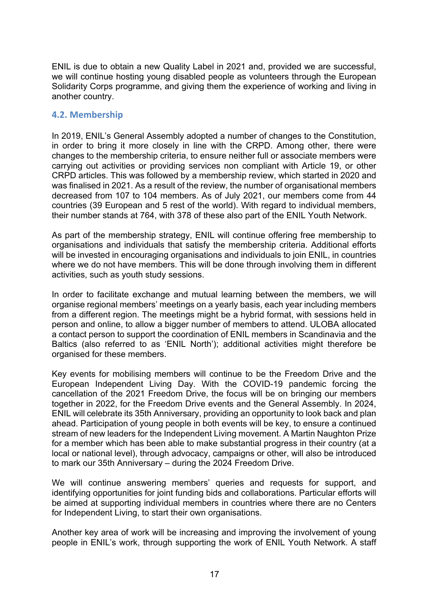ENIL is due to obtain a new Quality Label in 2021 and, provided we are successful, we will continue hosting young disabled people as volunteers through the European Solidarity Corps programme, and giving them the experience of working and living in another country.

## **4.2. Membership**

In 2019, ENIL's General Assembly adopted a number of changes to the Constitution, in order to bring it more closely in line with the CRPD. Among other, there were changes to the membership criteria, to ensure neither full or associate members were carrying out activities or providing services non compliant with Article 19, or other CRPD articles. This was followed by a membership review, which started in 2020 and was finalised in 2021. As a result of the review, the number of organisational members decreased from 107 to 104 members. As of July 2021, our members come from 44 countries (39 European and 5 rest of the world). With regard to individual members, their number stands at 764, with 378 of these also part of the ENIL Youth Network.

As part of the membership strategy, ENIL will continue offering free membership to organisations and individuals that satisfy the membership criteria. Additional efforts will be invested in encouraging organisations and individuals to join ENIL, in countries where we do not have members. This will be done through involving them in different activities, such as youth study sessions.

In order to facilitate exchange and mutual learning between the members, we will organise regional members' meetings on a yearly basis, each year including members from a different region. The meetings might be a hybrid format, with sessions held in person and online, to allow a bigger number of members to attend. ULOBA allocated a contact person to support the coordination of ENIL members in Scandinavia and the Baltics (also referred to as 'ENIL North'); additional activities might therefore be organised for these members.

Key events for mobilising members will continue to be the Freedom Drive and the European Independent Living Day. With the COVID-19 pandemic forcing the cancellation of the 2021 Freedom Drive, the focus will be on bringing our members together in 2022, for the Freedom Drive events and the General Assembly. In 2024, ENIL will celebrate its 35th Anniversary, providing an opportunity to look back and plan ahead. Participation of young people in both events will be key, to ensure a continued stream of new leaders for the Independent Living movement. A Martin Naughton Prize for a member which has been able to make substantial progress in their country (at a local or national level), through advocacy, campaigns or other, will also be introduced to mark our 35th Anniversary – during the 2024 Freedom Drive.

We will continue answering members' queries and requests for support, and identifying opportunities for joint funding bids and collaborations. Particular efforts will be aimed at supporting individual members in countries where there are no Centers for Independent Living, to start their own organisations.

Another key area of work will be increasing and improving the involvement of young people in ENIL's work, through supporting the work of ENIL Youth Network. A staff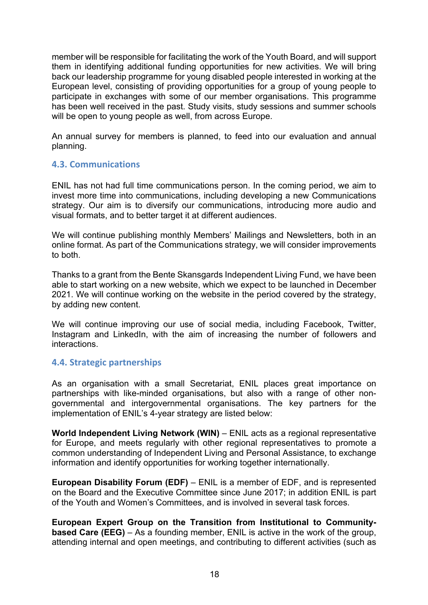member will be responsible for facilitating the work of the Youth Board, and will support them in identifying additional funding opportunities for new activities. We will bring back our leadership programme for young disabled people interested in working at the European level, consisting of providing opportunities for a group of young people to participate in exchanges with some of our member organisations. This programme has been well received in the past. Study visits, study sessions and summer schools will be open to young people as well, from across Europe.

An annual survey for members is planned, to feed into our evaluation and annual planning.

## **4.3. Communications**

ENIL has not had full time communications person. In the coming period, we aim to invest more time into communications, including developing a new Communications strategy. Our aim is to diversify our communications, introducing more audio and visual formats, and to better target it at different audiences.

We will continue publishing monthly Members' Mailings and Newsletters, both in an online format. As part of the Communications strategy, we will consider improvements to both.

Thanks to a grant from the Bente Skansgards Independent Living Fund, we have been able to start working on a new website, which we expect to be launched in December 2021. We will continue working on the website in the period covered by the strategy, by adding new content.

We will continue improving our use of social media, including Facebook, Twitter, Instagram and LinkedIn, with the aim of increasing the number of followers and interactions.

## **4.4. Strategic partnerships**

As an organisation with a small Secretariat, ENIL places great importance on partnerships with like-minded organisations, but also with a range of other nongovernmental and intergovernmental organisations. The key partners for the implementation of ENIL's 4-year strategy are listed below:

**World Independent Living Network (WIN)** – ENIL acts as a regional representative for Europe, and meets regularly with other regional representatives to promote a common understanding of Independent Living and Personal Assistance, to exchange information and identify opportunities for working together internationally.

**European Disability Forum (EDF)** – ENIL is a member of EDF, and is represented on the Board and the Executive Committee since June 2017; in addition ENIL is part of the Youth and Women's Committees, and is involved in several task forces.

**European Expert Group on the Transition from Institutional to Communitybased Care (EEG)** – As a founding member, ENIL is active in the work of the group, attending internal and open meetings, and contributing to different activities (such as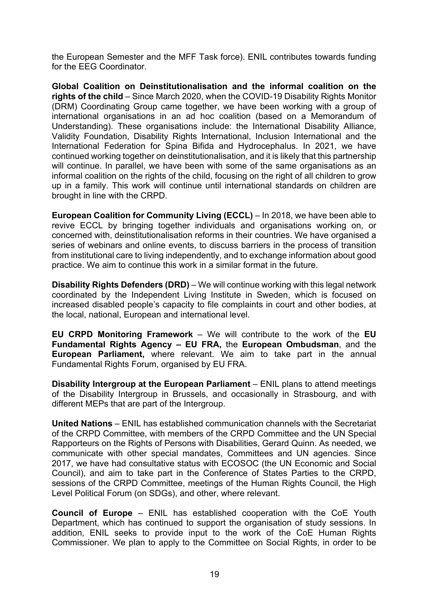the European Semester and the MFF Task force). ENIL contributes towards funding for the EEG Coordinator.

**Global Coalition on Deinstitutionalisation and the informal coalition on the rights of the child** – Since March 2020, when the COVID-19 Disability Rights Monitor (DRM) Coordinating Group came together, we have been working with a group of international organisations in an ad hoc coalition (based on a Memorandum of Understanding). These organisations include: the International Disability Alliance, Validity Foundation, Disability Rights International, Inclusion International and the International Federation for Spina Bifida and Hydrocephalus. In 2021, we have continued working together on deinstitutionalisation, and it is likely that this partnership will continue. In parallel, we have been with some of the same organisations as an informal coalition on the rights of the child, focusing on the right of all children to grow up in a family. This work will continue until international standards on children are brought in line with the CRPD.

**European Coalition for Community Living (ECCL)** – In 2018, we have been able to revive ECCL by bringing together individuals and organisations working on, or concerned with, deinstitutionalisation reforms in their countries. We have organised a series of webinars and online events, to discuss barriers in the process of transition from institutional care to living independently, and to exchange information about good practice. We aim to continue this work in a similar format in the future.

**Disability Rights Defenders (DRD)** – We will continue working with this legal network coordinated by the Independent Living Institute in Sweden, which is focused on increased disabled people's capacity to file complaints in court and other bodies, at the local, national, European and international level.

**EU CRPD Monitoring Framework** – We will contribute to the work of the **EU Fundamental Rights Agency – EU FRA,** the **European Ombudsman**, and the **European Parliament,** where relevant. We aim to take part in the annual Fundamental Rights Forum, organised by EU FRA.

**Disability Intergroup at the European Parliament** – ENIL plans to attend meetings of the Disability Intergroup in Brussels, and occasionally in Strasbourg, and with different MEPs that are part of the Intergroup.

**United Nations** – ENIL has established communication channels with the Secretariat of the CRPD Committee, with members of the CRPD Committee and the UN Special Rapporteurs on the Rights of Persons with Disabilities, Gerard Quinn. As needed, we communicate with other special mandates, Committees and UN agencies. Since 2017, we have had consultative status with ECOSOC (the UN Economic and Social Council), and aim to take part in the Conference of States Parties to the CRPD, sessions of the CRPD Committee, meetings of the Human Rights Council, the High Level Political Forum (on SDGs), and other, where relevant.

**Council of Europe** – ENIL has established cooperation with the CoE Youth Department, which has continued to support the organisation of study sessions. In addition, ENIL seeks to provide input to the work of the CoE Human Rights Commissioner. We plan to apply to the Committee on Social Rights, in order to be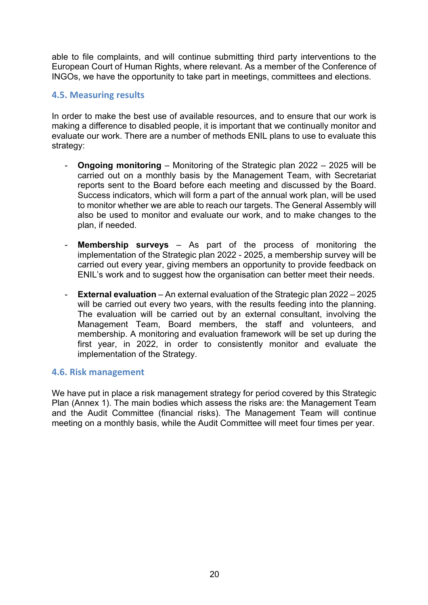able to file complaints, and will continue submitting third party interventions to the European Court of Human Rights, where relevant. As a member of the Conference of INGOs, we have the opportunity to take part in meetings, committees and elections.

## **4.5. Measuring results**

In order to make the best use of available resources, and to ensure that our work is making a difference to disabled people, it is important that we continually monitor and evaluate our work. There are a number of methods ENIL plans to use to evaluate this strategy:

- **Ongoing monitoring** Monitoring of the Strategic plan 2022 2025 will be carried out on a monthly basis by the Management Team, with Secretariat reports sent to the Board before each meeting and discussed by the Board. Success indicators, which will form a part of the annual work plan, will be used to monitor whether we are able to reach our targets. The General Assembly will also be used to monitor and evaluate our work, and to make changes to the plan, if needed.
- **Membership surveys** As part of the process of monitoring the implementation of the Strategic plan 2022 - 2025, a membership survey will be carried out every year, giving members an opportunity to provide feedback on ENIL's work and to suggest how the organisation can better meet their needs.
- **External evaluation** An external evaluation of the Strategic plan 2022 2025 will be carried out every two vears, with the results feeding into the planning. The evaluation will be carried out by an external consultant, involving the Management Team, Board members, the staff and volunteers, and membership. A monitoring and evaluation framework will be set up during the first year, in 2022, in order to consistently monitor and evaluate the implementation of the Strategy.

## **4.6. Risk management**

We have put in place a risk management strategy for period covered by this Strategic Plan (Annex 1). The main bodies which assess the risks are: the Management Team and the Audit Committee (financial risks). The Management Team will continue meeting on a monthly basis, while the Audit Committee will meet four times per year.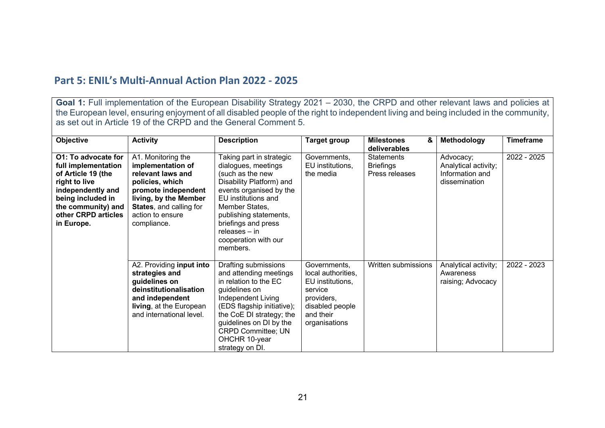# **Part 5: ENIL's Multi-Annual Action Plan 2022 - 2025**

**Goal 1:** Full implementation of the European Disability Strategy 2021 – 2030, the CRPD and other relevant laws and policies at the European level, ensuring enjoyment of all disabled people of the right to independent living and being included in the community, as set out in Article 19 of the CRPD and the General Comment 5.

| <b>Objective</b>                                                                                                                                                                       | <b>Activity</b>                                                                                                                                                                                      | <b>Description</b>                                                                                                                                                                                                                                                        | <b>Target group</b>                                                                                                              | <b>Milestones</b><br>&<br>deliverables                  | Methodology                                                           | Timeframe   |
|----------------------------------------------------------------------------------------------------------------------------------------------------------------------------------------|------------------------------------------------------------------------------------------------------------------------------------------------------------------------------------------------------|---------------------------------------------------------------------------------------------------------------------------------------------------------------------------------------------------------------------------------------------------------------------------|----------------------------------------------------------------------------------------------------------------------------------|---------------------------------------------------------|-----------------------------------------------------------------------|-------------|
| O1: To advocate for<br>full implementation<br>of Article 19 (the<br>right to live<br>independently and<br>being included in<br>the community) and<br>other CRPD articles<br>in Europe. | A1. Monitoring the<br>implementation of<br>relevant laws and<br>policies, which<br>promote independent<br>living, by the Member<br><b>States, and calling for</b><br>action to ensure<br>compliance. | Taking part in strategic<br>dialogues, meetings<br>(such as the new<br>Disability Platform) and<br>events organised by the<br>EU institutions and<br>Member States,<br>publishing statements,<br>briefings and press<br>releases - in<br>cooperation with our<br>members. | Governments,<br>EU institutions,<br>the media                                                                                    | <b>Statements</b><br><b>Briefings</b><br>Press releases | Advocacy;<br>Analytical activity;<br>Information and<br>dissemination | 2022 - 2025 |
|                                                                                                                                                                                        | A2. Providing input into<br>strategies and<br>guidelines on<br>deinstitutionalisation<br>and independent<br>living, at the European<br>and international level.                                      | Drafting submissions<br>and attending meetings<br>in relation to the EC<br>guidelines on<br>Independent Living<br>(EDS flagship initiative);<br>the CoE DI strategy; the<br>guidelines on DI by the<br><b>CRPD Committee; UN</b><br>OHCHR 10-year<br>strategy on DI.      | Governments,<br>local authorities,<br>EU institutions,<br>service<br>providers,<br>disabled people<br>and their<br>organisations | Written submissions                                     | Analytical activity;<br>Awareness<br>raising; Advocacy                | 2022 - 2023 |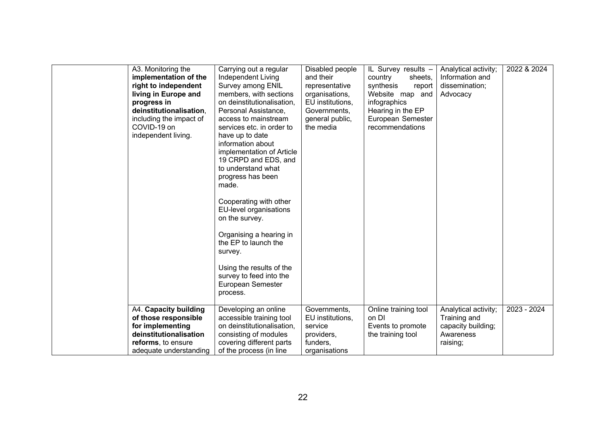| A3. Monitoring the<br>implementation of the<br>right to independent<br>living in Europe and<br>progress in<br>deinstitutionalisation,<br>including the impact of<br>COVID-19 on<br>independent living. | Carrying out a regular<br>Independent Living<br>Survey among ENIL<br>members, with sections<br>on deinstitutionalisation,<br>Personal Assistance,<br>access to mainstream<br>services etc. in order to<br>have up to date<br>information about<br>implementation of Article<br>19 CRPD and EDS, and<br>to understand what<br>progress has been<br>made.<br>Cooperating with other<br>EU-level organisations<br>on the survey.<br>Organising a hearing in<br>the EP to launch the<br>survey.<br>Using the results of the<br>survey to feed into the<br>European Semester<br>process. | Disabled people<br>and their<br>representative<br>organisations,<br>EU institutions,<br>Governments.<br>general public,<br>the media | IL Survey results -<br>country<br>sheets,<br>synthesis<br>report<br>Website map and<br>infographics<br>Hearing in the EP<br>European Semester<br>recommendations | Analytical activity;<br>Information and<br>dissemination;<br>Advocacy | 2022 & 2024 |
|--------------------------------------------------------------------------------------------------------------------------------------------------------------------------------------------------------|-------------------------------------------------------------------------------------------------------------------------------------------------------------------------------------------------------------------------------------------------------------------------------------------------------------------------------------------------------------------------------------------------------------------------------------------------------------------------------------------------------------------------------------------------------------------------------------|--------------------------------------------------------------------------------------------------------------------------------------|------------------------------------------------------------------------------------------------------------------------------------------------------------------|-----------------------------------------------------------------------|-------------|
| A4. Capacity building                                                                                                                                                                                  | Developing an online                                                                                                                                                                                                                                                                                                                                                                                                                                                                                                                                                                | Governments,                                                                                                                         | Online training tool                                                                                                                                             | Analytical activity;                                                  | 2023 - 2024 |
| of those responsible<br>for implementing<br>deinstitutionalisation                                                                                                                                     | accessible training tool<br>on deinstitutionalisation,<br>consisting of modules                                                                                                                                                                                                                                                                                                                                                                                                                                                                                                     | EU institutions,<br>service<br>providers,                                                                                            | on DI<br>Events to promote<br>the training tool                                                                                                                  | Training and<br>capacity building;<br>Awareness                       |             |
| reforms, to ensure<br>adequate understanding                                                                                                                                                           | covering different parts<br>of the process (in line                                                                                                                                                                                                                                                                                                                                                                                                                                                                                                                                 | funders,<br>organisations                                                                                                            |                                                                                                                                                                  | raising;                                                              |             |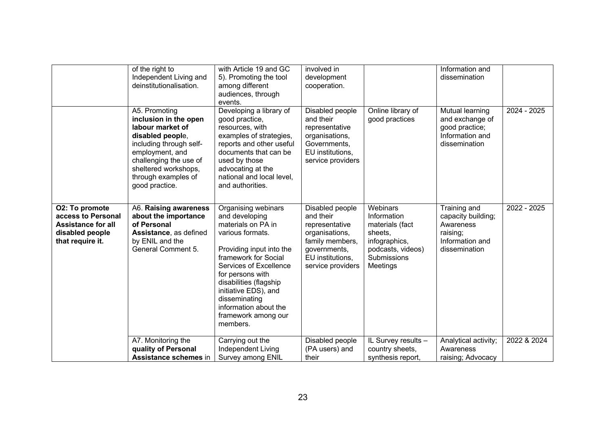|                                                                                                          | of the right to<br>Independent Living and<br>deinstitutionalisation.                                                                                                                                                    | with Article 19 and GC<br>5). Promoting the tool<br>among different<br>audiences, through<br>events.                                                                                                                                                                                                             | involved in<br>development<br>cooperation.                                                                                                   |                                                                                                                        | Information and<br>dissemination                                                                |             |
|----------------------------------------------------------------------------------------------------------|-------------------------------------------------------------------------------------------------------------------------------------------------------------------------------------------------------------------------|------------------------------------------------------------------------------------------------------------------------------------------------------------------------------------------------------------------------------------------------------------------------------------------------------------------|----------------------------------------------------------------------------------------------------------------------------------------------|------------------------------------------------------------------------------------------------------------------------|-------------------------------------------------------------------------------------------------|-------------|
|                                                                                                          | A5. Promoting<br>inclusion in the open<br>labour market of<br>disabled people,<br>including through self-<br>employment, and<br>challenging the use of<br>sheltered workshops,<br>through examples of<br>good practice. | Developing a library of<br>good practice,<br>resources, with<br>examples of strategies,<br>reports and other useful<br>documents that can be<br>used by those<br>advocating at the<br>national and local level,<br>and authorities.                                                                              | Disabled people<br>and their<br>representative<br>organisations,<br>Governments,<br>EU institutions,<br>service providers                    | Online library of<br>good practices                                                                                    | Mutual learning<br>and exchange of<br>good practice;<br>Information and<br>dissemination        | 2024 - 2025 |
| O2: To promote<br>access to Personal<br><b>Assistance for all</b><br>disabled people<br>that require it. | A6. Raising awareness<br>about the importance<br>of Personal<br>Assistance, as defined<br>by ENIL and the<br>General Comment 5.                                                                                         | Organising webinars<br>and developing<br>materials on PA in<br>various formats.<br>Providing input into the<br>framework for Social<br>Services of Excellence<br>for persons with<br>disabilities (flagship<br>initiative EDS), and<br>disseminating<br>information about the<br>framework among our<br>members. | Disabled people<br>and their<br>representative<br>organisations,<br>family members,<br>governments,<br>EU institutions,<br>service providers | Webinars<br>Information<br>materials (fact<br>sheets,<br>infographics,<br>podcasts, videos)<br>Submissions<br>Meetings | Training and<br>capacity building;<br>Awareness<br>raising;<br>Information and<br>dissemination | 2022 - 2025 |
|                                                                                                          | A7. Monitoring the<br>quality of Personal<br>Assistance schemes in                                                                                                                                                      | Carrying out the<br>Independent Living<br>Survey among ENIL                                                                                                                                                                                                                                                      | Disabled people<br>(PA users) and<br>their                                                                                                   | IL Survey results -<br>country sheets,<br>synthesis report,                                                            | Analytical activity;<br>Awareness<br>raising; Advocacy                                          | 2022 & 2024 |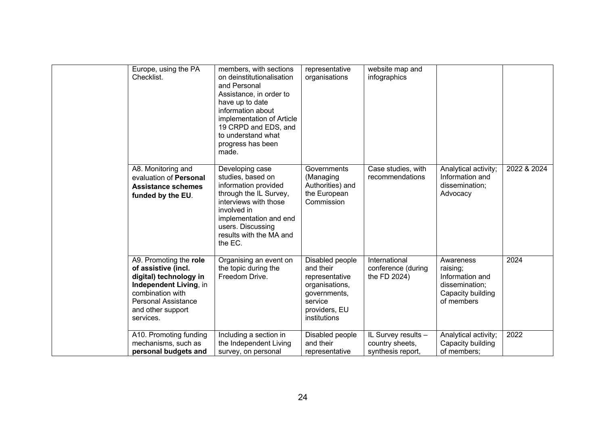| Europe, using the PA<br>Checklist.                                                                                                                                                    | members, with sections<br>on deinstitutionalisation<br>and Personal<br>Assistance, in order to<br>have up to date<br>information about<br>implementation of Article<br>19 CRPD and EDS, and<br>to understand what<br>progress has been<br>made. | representative<br>organisations                                                                                              | website map and<br>infographics                             |                                                                                               |             |
|---------------------------------------------------------------------------------------------------------------------------------------------------------------------------------------|-------------------------------------------------------------------------------------------------------------------------------------------------------------------------------------------------------------------------------------------------|------------------------------------------------------------------------------------------------------------------------------|-------------------------------------------------------------|-----------------------------------------------------------------------------------------------|-------------|
| A8. Monitoring and<br>evaluation of Personal<br><b>Assistance schemes</b><br>funded by the EU.                                                                                        | Developing case<br>studies, based on<br>information provided<br>through the IL Survey,<br>interviews with those<br>involved in<br>implementation and end<br>users. Discussing<br>results with the MA and<br>the EC.                             | Governments<br>(Managing<br>Authorities) and<br>the European<br>Commission                                                   | Case studies, with<br>recommendations                       | Analytical activity;<br>Information and<br>dissemination;<br>Advocacy                         | 2022 & 2024 |
| A9. Promoting the role<br>of assistive (incl.<br>digital) technology in<br>Independent Living, in<br>combination with<br><b>Personal Assistance</b><br>and other support<br>services. | Organising an event on<br>the topic during the<br>Freedom Drive.                                                                                                                                                                                | Disabled people<br>and their<br>representative<br>organisations,<br>governments,<br>service<br>providers, EU<br>institutions | International<br>conference (during<br>the FD 2024)         | Awareness<br>raising;<br>Information and<br>dissemination;<br>Capacity building<br>of members | 2024        |
| A10. Promoting funding<br>mechanisms, such as<br>personal budgets and                                                                                                                 | Including a section in<br>the Independent Living<br>survey, on personal                                                                                                                                                                         | Disabled people<br>and their<br>representative                                                                               | IL Survey results -<br>country sheets,<br>synthesis report, | Analytical activity;<br>Capacity building<br>of members;                                      | 2022        |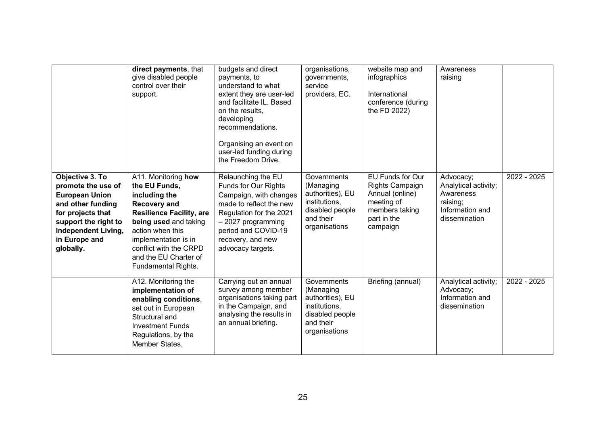|                                                                                                                                                                                              | direct payments, that<br>give disabled people<br>control over their<br>support.                                                                                                                                                                                | budgets and direct<br>payments, to<br>understand to what<br>extent they are user-led<br>and facilitate IL. Based<br>on the results,<br>developing<br>recommendations.<br>Organising an event on<br>user-led funding during<br>the Freedom Drive. | organisations,<br>governments,<br>service<br>providers, EC.                                                    | website map and<br>infographics<br>International<br>conference (during<br>the FD 2022)                                   | Awareness<br>raising                                                                           |             |
|----------------------------------------------------------------------------------------------------------------------------------------------------------------------------------------------|----------------------------------------------------------------------------------------------------------------------------------------------------------------------------------------------------------------------------------------------------------------|--------------------------------------------------------------------------------------------------------------------------------------------------------------------------------------------------------------------------------------------------|----------------------------------------------------------------------------------------------------------------|--------------------------------------------------------------------------------------------------------------------------|------------------------------------------------------------------------------------------------|-------------|
| Objective 3. To<br>promote the use of<br><b>European Union</b><br>and other funding<br>for projects that<br>support the right to<br><b>Independent Living,</b><br>in Europe and<br>globally. | A11. Monitoring how<br>the EU Funds.<br>including the<br><b>Recovery and</b><br><b>Resilience Facility, are</b><br>being used and taking<br>action when this<br>implementation is in<br>conflict with the CRPD<br>and the EU Charter of<br>Fundamental Rights. | Relaunching the EU<br>Funds for Our Rights<br>Campaign, with changes<br>made to reflect the new<br>Regulation for the 2021<br>$-2027$ programming<br>period and COVID-19<br>recovery, and new<br>advocacy targets.                               | Governments<br>(Managing<br>authorities), EU<br>institutions,<br>disabled people<br>and their<br>organisations | EU Funds for Our<br><b>Rights Campaign</b><br>Annual (online)<br>meeting of<br>members taking<br>part in the<br>campaign | Advocacy;<br>Analytical activity;<br>Awareness<br>raising;<br>Information and<br>dissemination | 2022 - 2025 |
|                                                                                                                                                                                              | A12. Monitoring the<br>implementation of<br>enabling conditions,<br>set out in European<br>Structural and<br><b>Investment Funds</b><br>Regulations, by the<br>Member States.                                                                                  | Carrying out an annual<br>survey among member<br>organisations taking part<br>in the Campaign, and<br>analysing the results in<br>an annual briefing.                                                                                            | Governments<br>(Managing<br>authorities), EU<br>institutions,<br>disabled people<br>and their<br>organisations | Briefing (annual)                                                                                                        | Analytical activity;<br>Advocacy;<br>Information and<br>dissemination                          | 2022 - 2025 |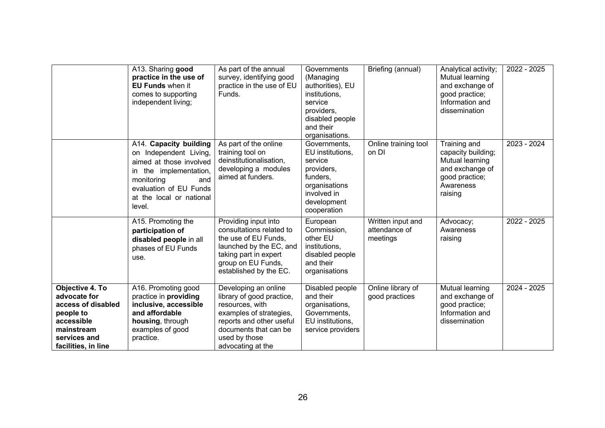|                                                                                                                                       | A13. Sharing good<br>practice in the use of<br><b>EU Funds when it</b><br>comes to supporting<br>independent living;                                                                       | As part of the annual<br>survey, identifying good<br>practice in the use of EU<br>Funds.                                                                                                   | Governments<br>(Managing<br>authorities), EU<br>institutions,<br>service<br>providers,<br>disabled people<br>and their<br>organisations. | Briefing (annual)                              | Analytical activity;<br>Mutual learning<br>and exchange of<br>good practice;<br>Information and<br>dissemination   | 2022 - 2025 |
|---------------------------------------------------------------------------------------------------------------------------------------|--------------------------------------------------------------------------------------------------------------------------------------------------------------------------------------------|--------------------------------------------------------------------------------------------------------------------------------------------------------------------------------------------|------------------------------------------------------------------------------------------------------------------------------------------|------------------------------------------------|--------------------------------------------------------------------------------------------------------------------|-------------|
|                                                                                                                                       | A14. Capacity building<br>on Independent Living,<br>aimed at those involved<br>in the implementation,<br>monitoring<br>and<br>evaluation of EU Funds<br>at the local or national<br>level. | As part of the online<br>training tool on<br>deinstitutionalisation,<br>developing a modules<br>aimed at funders.                                                                          | Governments,<br>EU institutions.<br>service<br>providers,<br>funders,<br>organisations<br>involved in<br>development<br>cooperation      | Online training tool<br>on DI                  | Training and<br>capacity building;<br>Mutual learning<br>and exchange of<br>good practice;<br>Awareness<br>raising | 2023 - 2024 |
|                                                                                                                                       | A15. Promoting the<br>participation of<br>disabled people in all<br>phases of EU Funds<br>use.                                                                                             | Providing input into<br>consultations related to<br>the use of EU Funds,<br>launched by the EC, and<br>taking part in expert<br>group on EU Funds,<br>established by the EC.               | European<br>Commission,<br>other EU<br>institutions,<br>disabled people<br>and their<br>organisations                                    | Written input and<br>attendance of<br>meetings | Advocacy;<br>Awareness<br>raising                                                                                  | 2022 - 2025 |
| Objective 4. To<br>advocate for<br>access of disabled<br>people to<br>accessible<br>mainstream<br>services and<br>facilities, in line | A16. Promoting good<br>practice in providing<br>inclusive, accessible<br>and affordable<br>housing, through<br>examples of good<br>practice.                                               | Developing an online<br>library of good practice,<br>resources, with<br>examples of strategies,<br>reports and other useful<br>documents that can be<br>used by those<br>advocating at the | Disabled people<br>and their<br>organisations,<br>Governments,<br>EU institutions,<br>service providers                                  | Online library of<br>good practices            | Mutual learning<br>and exchange of<br>good practice;<br>Information and<br>dissemination                           | 2024 - 2025 |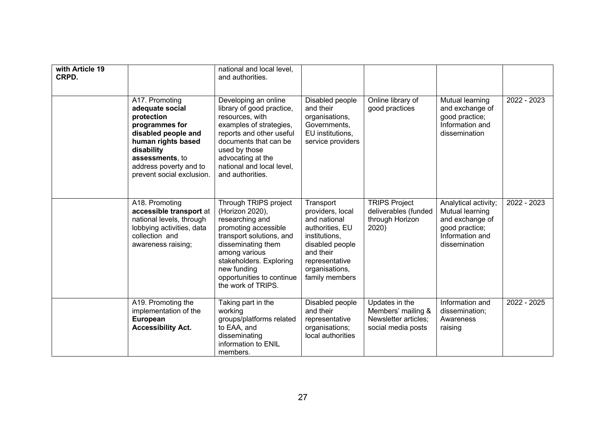| with Article 19<br>CRPD. |                                                                                                                                                                                                        | national and local level,<br>and authorities.                                                                                                                                                                                                       |                                                                                                                                                                         |                                                                                    |                                                                                                                  |             |
|--------------------------|--------------------------------------------------------------------------------------------------------------------------------------------------------------------------------------------------------|-----------------------------------------------------------------------------------------------------------------------------------------------------------------------------------------------------------------------------------------------------|-------------------------------------------------------------------------------------------------------------------------------------------------------------------------|------------------------------------------------------------------------------------|------------------------------------------------------------------------------------------------------------------|-------------|
|                          | A17. Promoting<br>adequate social<br>protection<br>programmes for<br>disabled people and<br>human rights based<br>disability<br>assessments, to<br>address poverty and to<br>prevent social exclusion. | Developing an online<br>library of good practice,<br>resources, with<br>examples of strategies,<br>reports and other useful<br>documents that can be<br>used by those<br>advocating at the<br>national and local level,<br>and authorities.         | Disabled people<br>and their<br>organisations,<br>Governments,<br>EU institutions,<br>service providers                                                                 | Online library of<br>good practices                                                | Mutual learning<br>and exchange of<br>good practice;<br>Information and<br>dissemination                         | 2022 - 2023 |
|                          | A18. Promoting<br>accessible transport at<br>national levels, through<br>lobbying activities, data<br>collection and<br>awareness raising;                                                             | Through TRIPS project<br>(Horizon 2020),<br>researching and<br>promoting accessible<br>transport solutions, and<br>disseminating them<br>among various<br>stakeholders. Exploring<br>new funding<br>opportunities to continue<br>the work of TRIPS. | Transport<br>providers, local<br>and national<br>authorities, EU<br>institutions,<br>disabled people<br>and their<br>representative<br>organisations,<br>family members | <b>TRIPS Project</b><br>deliverables (funded<br>through Horizon<br>2020)           | Analytical activity;<br>Mutual learning<br>and exchange of<br>good practice;<br>Information and<br>dissemination | 2022 - 2023 |
|                          | A19. Promoting the<br>implementation of the<br>European<br><b>Accessibility Act.</b>                                                                                                                   | Taking part in the<br>working<br>groups/platforms related<br>to EAA, and<br>disseminating<br>information to ENIL<br>members.                                                                                                                        | Disabled people<br>and their<br>representative<br>organisations;<br>local authorities                                                                                   | Updates in the<br>Members' mailing &<br>Newsletter articles:<br>social media posts | Information and<br>dissemination;<br>Awareness<br>raising                                                        | 2022 - 2025 |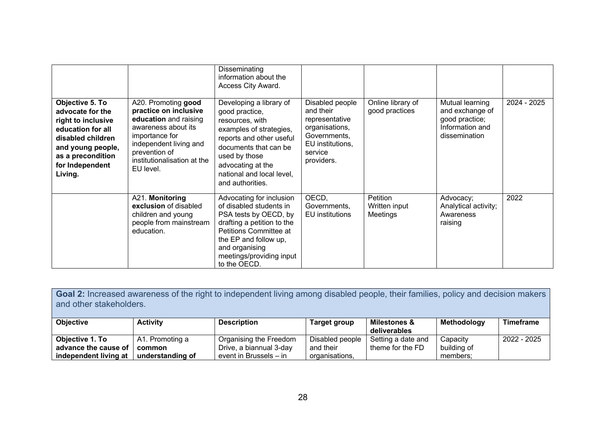|                                                                                                                                                                             |                                                                                                                                                                                                       | Disseminating<br>information about the<br>Access City Award.                                                                                                                                                                        |                                                                                                                               |                                       |                                                                                          |             |
|-----------------------------------------------------------------------------------------------------------------------------------------------------------------------------|-------------------------------------------------------------------------------------------------------------------------------------------------------------------------------------------------------|-------------------------------------------------------------------------------------------------------------------------------------------------------------------------------------------------------------------------------------|-------------------------------------------------------------------------------------------------------------------------------|---------------------------------------|------------------------------------------------------------------------------------------|-------------|
| Objective 5. To<br>advocate for the<br>right to inclusive<br>education for all<br>disabled children<br>and young people,<br>as a precondition<br>for Independent<br>Living. | A20. Promoting good<br>practice on inclusive<br>education and raising<br>awareness about its<br>importance for<br>independent living and<br>prevention of<br>institutionalisation at the<br>EU level. | Developing a library of<br>good practice,<br>resources, with<br>examples of strategies,<br>reports and other useful<br>documents that can be<br>used by those<br>advocating at the<br>national and local level,<br>and authorities. | Disabled people<br>and their<br>representative<br>organisations,<br>Governments,<br>EU institutions,<br>service<br>providers. | Online library of<br>good practices   | Mutual learning<br>and exchange of<br>good practice;<br>Information and<br>dissemination | 2024 - 2025 |
|                                                                                                                                                                             | A21. Monitoring<br>exclusion of disabled<br>children and young<br>people from mainstream<br>education.                                                                                                | Advocating for inclusion<br>of disabled students in<br>PSA tests by OECD, by<br>drafting a petition to the<br>Petitions Committee at<br>the EP and follow up,<br>and organising<br>meetings/providing input<br>to the OECD.         | OECD,<br>Governments,<br>EU institutions                                                                                      | Petition<br>Written input<br>Meetings | Advocacy;<br>Analytical activity;<br>Awareness<br>raising                                | 2022        |

| Goal 2: Increased awareness of the right to independent living among disabled people, their families, policy and decision makers<br>and other stakeholders. |                  |                         |                     |                                         |             |             |
|-------------------------------------------------------------------------------------------------------------------------------------------------------------|------------------|-------------------------|---------------------|-----------------------------------------|-------------|-------------|
| <b>Objective</b>                                                                                                                                            | <b>Activity</b>  | <b>Description</b>      | <b>Target group</b> | <b>Milestones &amp;</b><br>deliverables | Methodology | Timeframe   |
| Objective 1. To                                                                                                                                             | A1. Promoting a  | Organising the Freedom  | Disabled people     | Setting a date and                      | Capacity    | 2022 - 2025 |
| advance the cause of                                                                                                                                        | common           | Drive, a biannual 3-day | and their           | theme for the FD                        | building of |             |
| independent living at                                                                                                                                       | understanding of | event in Brussels - in  | organisations,      |                                         | members;    |             |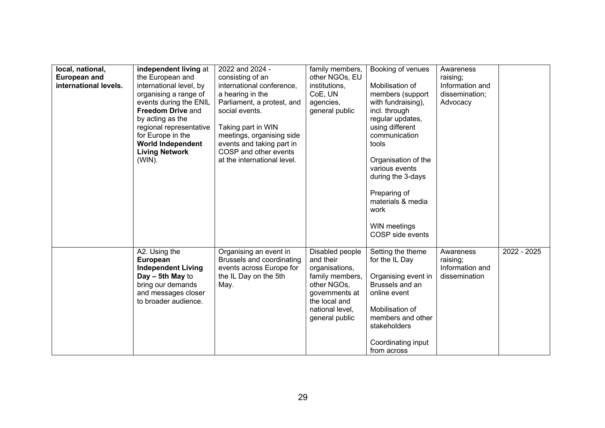| local, national,      | independent living at     | 2022 and 2024 -             | family members, | Booking of venues                 | Awareness       |             |
|-----------------------|---------------------------|-----------------------------|-----------------|-----------------------------------|-----------------|-------------|
| <b>European and</b>   | the European and          | consisting of an            | other NGOs, EU  |                                   | raising;        |             |
| international levels. | international level, by   | international conference,   | institutions,   | Mobilisation of                   | Information and |             |
|                       | organising a range of     | a hearing in the            | CoE, UN         | members (support                  | dissemination;  |             |
|                       | events during the ENIL    | Parliament, a protest, and  | agencies,       | with fundraising),                | Advocacy        |             |
|                       | <b>Freedom Drive and</b>  | social events.              | general public  | incl. through                     |                 |             |
|                       | by acting as the          |                             |                 | regular updates,                  |                 |             |
|                       | regional representative   | Taking part in WIN          |                 | using different                   |                 |             |
|                       | for Europe in the         | meetings, organising side   |                 | communication                     |                 |             |
|                       | <b>World Independent</b>  | events and taking part in   |                 | tools                             |                 |             |
|                       | <b>Living Network</b>     | COSP and other events       |                 |                                   |                 |             |
|                       | (WIN).                    | at the international level. |                 | Organisation of the               |                 |             |
|                       |                           |                             |                 | various events                    |                 |             |
|                       |                           |                             |                 | during the 3-days                 |                 |             |
|                       |                           |                             |                 |                                   |                 |             |
|                       |                           |                             |                 | Preparing of                      |                 |             |
|                       |                           |                             |                 | materials & media                 |                 |             |
|                       |                           |                             |                 | work                              |                 |             |
|                       |                           |                             |                 |                                   |                 |             |
|                       |                           |                             |                 | WIN meetings                      |                 |             |
|                       |                           |                             |                 | COSP side events                  |                 |             |
|                       |                           |                             |                 |                                   |                 |             |
|                       | A2. Using the             | Organising an event in      | Disabled people | Setting the theme                 | Awareness       | 2022 - 2025 |
|                       | European                  | Brussels and coordinating   | and their       | for the IL Day                    | raising;        |             |
|                       | <b>Independent Living</b> | events across Europe for    | organisations,  |                                   | Information and |             |
|                       | $Day - 5th$ May to        | the IL Day on the 5th       | family members, | Organising event in               | dissemination   |             |
|                       | bring our demands         | May.                        | other NGOs,     | Brussels and an                   |                 |             |
|                       | and messages closer       |                             | governments at  | online event                      |                 |             |
|                       | to broader audience.      |                             | the local and   |                                   |                 |             |
|                       |                           |                             | national level, | Mobilisation of                   |                 |             |
|                       |                           |                             | general public  | members and other<br>stakeholders |                 |             |
|                       |                           |                             |                 |                                   |                 |             |
|                       |                           |                             |                 | Coordinating input                |                 |             |
|                       |                           |                             |                 | from across                       |                 |             |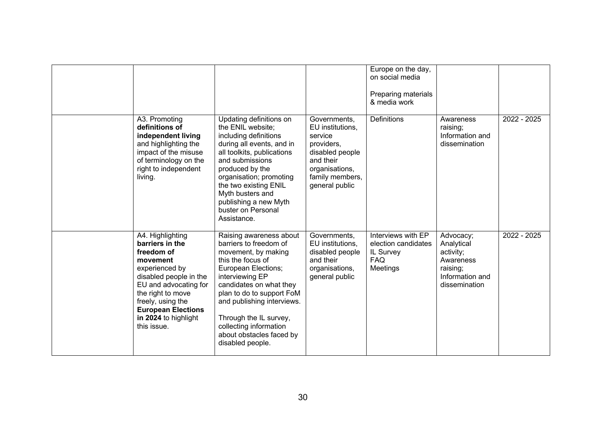|                                                                                                                                                                                                                                                  |                                                                                                                                                                                                                                                                                                                                          |                                                                                                                                                  | Europe on the day,<br>on social media<br>Preparing materials<br>& media work     |                                                                                                   |             |
|--------------------------------------------------------------------------------------------------------------------------------------------------------------------------------------------------------------------------------------------------|------------------------------------------------------------------------------------------------------------------------------------------------------------------------------------------------------------------------------------------------------------------------------------------------------------------------------------------|--------------------------------------------------------------------------------------------------------------------------------------------------|----------------------------------------------------------------------------------|---------------------------------------------------------------------------------------------------|-------------|
| A3. Promoting<br>definitions of<br>independent living<br>and highlighting the<br>impact of the misuse<br>of terminology on the<br>right to independent<br>living.                                                                                | Updating definitions on<br>the ENIL website;<br>including definitions<br>during all events, and in<br>all toolkits, publications<br>and submissions<br>produced by the<br>organisation; promoting<br>the two existing ENIL<br>Myth busters and<br>publishing a new Myth<br>buster on Personal<br>Assistance.                             | Governments,<br>EU institutions,<br>service<br>providers,<br>disabled people<br>and their<br>organisations,<br>family members,<br>general public | <b>Definitions</b>                                                               | Awareness<br>raising;<br>Information and<br>dissemination                                         | 2022 - 2025 |
| A4. Highlighting<br>barriers in the<br>freedom of<br>movement<br>experienced by<br>disabled people in the<br>EU and advocating for<br>the right to move<br>freely, using the<br><b>European Elections</b><br>in 2024 to highlight<br>this issue. | Raising awareness about<br>barriers to freedom of<br>movement, by making<br>this the focus of<br><b>European Elections;</b><br>interviewing EP<br>candidates on what they<br>plan to do to support FoM<br>and publishing interviews.<br>Through the IL survey,<br>collecting information<br>about obstacles faced by<br>disabled people. | Governments,<br>EU institutions,<br>disabled people<br>and their<br>organisations,<br>general public                                             | Interviews with EP<br>election candidates<br>IL Survey<br><b>FAQ</b><br>Meetings | Advocacy;<br>Analytical<br>activity;<br>Awareness<br>raising;<br>Information and<br>dissemination | 2022 - 2025 |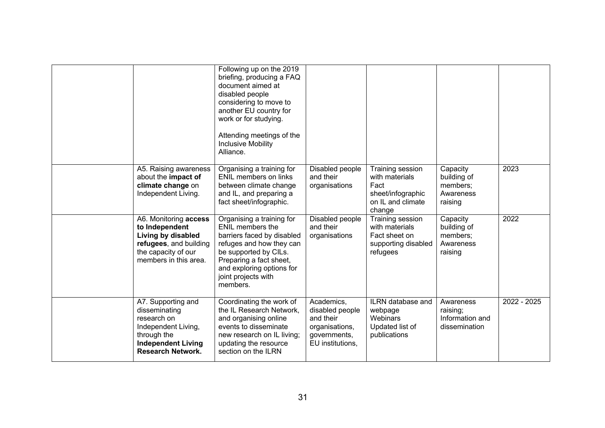|                                                                                                                                                   | Following up on the 2019<br>briefing, producing a FAQ<br>document aimed at<br>disabled people<br>considering to move to<br>another EU country for<br>work or for studying.<br>Attending meetings of the<br><b>Inclusive Mobility</b><br>Alliance. |                                                                                                  |                                                                                                |                                                             |             |
|---------------------------------------------------------------------------------------------------------------------------------------------------|---------------------------------------------------------------------------------------------------------------------------------------------------------------------------------------------------------------------------------------------------|--------------------------------------------------------------------------------------------------|------------------------------------------------------------------------------------------------|-------------------------------------------------------------|-------------|
| A5. Raising awareness<br>about the impact of<br>climate change on<br>Independent Living.                                                          | Organising a training for<br>ENIL members on links<br>between climate change<br>and IL, and preparing a<br>fact sheet/infographic.                                                                                                                | Disabled people<br>and their<br>organisations                                                    | Training session<br>with materials<br>Fact<br>sheet/infographic<br>on IL and climate<br>change | Capacity<br>building of<br>members;<br>Awareness<br>raising | 2023        |
| A6. Monitoring access<br>to Independent<br>Living by disabled<br>refugees, and building<br>the capacity of our<br>members in this area.           | Organising a training for<br><b>ENIL members the</b><br>barriers faced by disabled<br>refuges and how they can<br>be supported by CILs.<br>Preparing a fact sheet,<br>and exploring options for<br>joint projects with<br>members.                | Disabled people<br>and their<br>organisations                                                    | Training session<br>with materials<br>Fact sheet on<br>supporting disabled<br>refugees         | Capacity<br>building of<br>members;<br>Awareness<br>raising | 2022        |
| A7. Supporting and<br>disseminating<br>research on<br>Independent Living,<br>through the<br><b>Independent Living</b><br><b>Research Network.</b> | Coordinating the work of<br>the IL Research Network,<br>and organising online<br>events to disseminate<br>new research on IL living;<br>updating the resource<br>section on the ILRN                                                              | Academics,<br>disabled people<br>and their<br>organisations,<br>governments,<br>EU institutions, | ILRN database and<br>webpage<br>Webinars<br>Updated list of<br>publications                    | Awareness<br>raising;<br>Information and<br>dissemination   | 2022 - 2025 |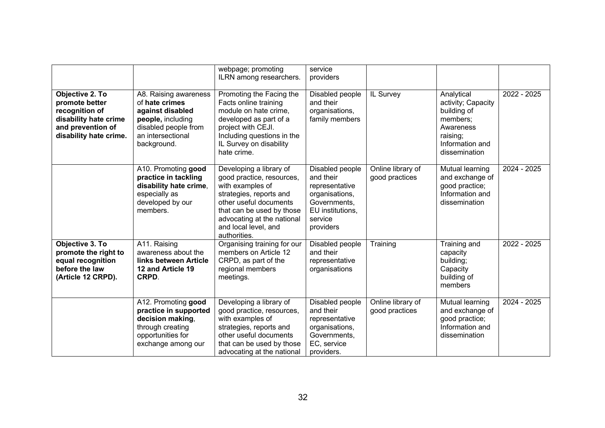|                                                                                                                             |                                                                                                                                              | webpage; promoting<br>ILRN among researchers.                                                                                                                                                                                    | service<br>providers                                                                                                         |                                     |                                                                                                                          |             |
|-----------------------------------------------------------------------------------------------------------------------------|----------------------------------------------------------------------------------------------------------------------------------------------|----------------------------------------------------------------------------------------------------------------------------------------------------------------------------------------------------------------------------------|------------------------------------------------------------------------------------------------------------------------------|-------------------------------------|--------------------------------------------------------------------------------------------------------------------------|-------------|
| Objective 2. To<br>promote better<br>recognition of<br>disability hate crime<br>and prevention of<br>disability hate crime. | A8. Raising awareness<br>of hate crimes<br>against disabled<br>people, including<br>disabled people from<br>an intersectional<br>background. | Promoting the Facing the<br>Facts online training<br>module on hate crime,<br>developed as part of a<br>project with CEJI.<br>Including questions in the<br>IL Survey on disability<br>hate crime.                               | Disabled people<br>and their<br>organisations,<br>family members                                                             | IL Survey                           | Analytical<br>activity; Capacity<br>building of<br>members;<br>Awareness<br>raising;<br>Information and<br>dissemination | 2022 - 2025 |
|                                                                                                                             | A10. Promoting good<br>practice in tackling<br>disability hate crime,<br>especially as<br>developed by our<br>members.                       | Developing a library of<br>good practice, resources,<br>with examples of<br>strategies, reports and<br>other useful documents<br>that can be used by those<br>advocating at the national<br>and local level, and<br>authorities. | Disabled people<br>and their<br>representative<br>organisations,<br>Governments,<br>EU institutions,<br>service<br>providers | Online library of<br>good practices | Mutual learning<br>and exchange of<br>good practice;<br>Information and<br>dissemination                                 | 2024 - 2025 |
| Objective 3. To<br>promote the right to<br>equal recognition<br>before the law<br>(Article 12 CRPD).                        | A11. Raising<br>awareness about the<br>links between Article<br>12 and Article 19<br>CRPD.                                                   | Organising training for our<br>members on Article 12<br>CRPD, as part of the<br>regional members<br>meetings.                                                                                                                    | Disabled people<br>and their<br>representative<br>organisations                                                              | Training                            | Training and<br>capacity<br>building;<br>Capacity<br>building of<br>members                                              | 2022 - 2025 |
|                                                                                                                             | A12. Promoting good<br>practice in supported<br>decision making,<br>through creating<br>opportunities for<br>exchange among our              | Developing a library of<br>good practice, resources,<br>with examples of<br>strategies, reports and<br>other useful documents<br>that can be used by those<br>advocating at the national                                         | Disabled people<br>and their<br>representative<br>organisations,<br>Governments,<br>EC, service<br>providers.                | Online library of<br>good practices | Mutual learning<br>and exchange of<br>good practice;<br>Information and<br>dissemination                                 | 2024 - 2025 |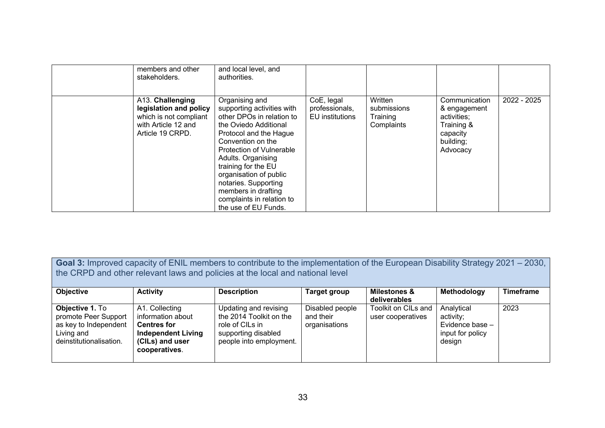| members and other<br>stakeholders.                                                                              | and local level, and<br>authorities.                                                                                                                                                                                                                                                                                                                            |                                                 |                                                  |                                                                                                 |             |
|-----------------------------------------------------------------------------------------------------------------|-----------------------------------------------------------------------------------------------------------------------------------------------------------------------------------------------------------------------------------------------------------------------------------------------------------------------------------------------------------------|-------------------------------------------------|--------------------------------------------------|-------------------------------------------------------------------------------------------------|-------------|
| A13. Challenging<br>legislation and policy<br>which is not compliant<br>with Article 12 and<br>Article 19 CRPD. | Organising and<br>supporting activities with<br>other DPOs in relation to<br>the Oviedo Additional<br>Protocol and the Hague<br>Convention on the<br><b>Protection of Vulnerable</b><br>Adults. Organising<br>training for the EU<br>organisation of public<br>notaries. Supporting<br>members in drafting<br>complaints in relation to<br>the use of EU Funds. | CoE, legal<br>professionals,<br>EU institutions | Written<br>submissions<br>Training<br>Complaints | Communication<br>& engagement<br>activities;<br>Training &<br>capacity<br>building;<br>Advocacy | 2022 - 2025 |

**Goal 3:** Improved capacity of ENIL members to contribute to the implementation of the European Disability Strategy 2021 – 2030, the CRPD and other relevant laws and policies at the local and national level

| <b>Objective</b>                                                                                          | <b>Activity</b>                                                                                                            | <b>Description</b>                                                                                                    | <b>Target group</b>                           | <b>Milestones &amp;</b><br>deliverables  | Methodology                                                              | <b>Timeframe</b> |
|-----------------------------------------------------------------------------------------------------------|----------------------------------------------------------------------------------------------------------------------------|-----------------------------------------------------------------------------------------------------------------------|-----------------------------------------------|------------------------------------------|--------------------------------------------------------------------------|------------------|
| Objective 1. To<br>promote Peer Support<br>as key to Independent<br>Living and<br>deinstitutionalisation. | A1. Collecting<br>information about<br><b>Centres for</b><br><b>Independent Living</b><br>(CILs) and user<br>cooperatives. | Updating and revising<br>the 2014 Toolkit on the<br>role of CILs in<br>supporting disabled<br>people into employment. | Disabled people<br>and their<br>organisations | Toolkit on CILs and<br>user cooperatives | Analytical<br>activity;<br>Evidence base -<br>input for policy<br>design | 2023             |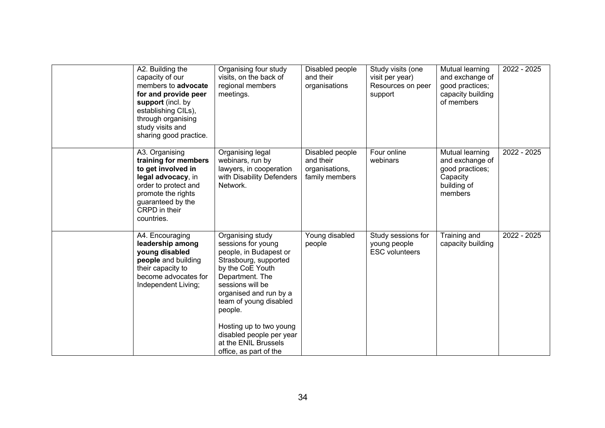| A2. Building the<br>capacity of our<br>members to advocate<br>for and provide peer<br>support (incl. by<br>establishing CILs),<br>through organising<br>study visits and<br>sharing good practice. | Organising four study<br>visits, on the back of<br>regional members<br>meetings.                                                                                                                                                                                                                                             | Disabled people<br>and their<br>organisations                    | Study visits (one<br>visit per year)<br>Resources on peer<br>support | Mutual learning<br>and exchange of<br>good practices;<br>capacity building<br>of members    | 2022 - 2025 |
|----------------------------------------------------------------------------------------------------------------------------------------------------------------------------------------------------|------------------------------------------------------------------------------------------------------------------------------------------------------------------------------------------------------------------------------------------------------------------------------------------------------------------------------|------------------------------------------------------------------|----------------------------------------------------------------------|---------------------------------------------------------------------------------------------|-------------|
| A3. Organising<br>training for members<br>to get involved in<br>legal advocacy, in<br>order to protect and<br>promote the rights<br>guaranteed by the<br>CRPD in their<br>countries.               | Organising legal<br>webinars, run by<br>lawyers, in cooperation<br>with Disability Defenders<br>Network.                                                                                                                                                                                                                     | Disabled people<br>and their<br>organisations,<br>family members | Four online<br>webinars                                              | Mutual learning<br>and exchange of<br>good practices;<br>Capacity<br>building of<br>members | 2022 - 2025 |
| A4. Encouraging<br>leadership among<br>young disabled<br>people and building<br>their capacity to<br>become advocates for<br>Independent Living;                                                   | Organising study<br>sessions for young<br>people, in Budapest or<br>Strasbourg, supported<br>by the CoE Youth<br>Department. The<br>sessions will be<br>organised and run by a<br>team of young disabled<br>people.<br>Hosting up to two young<br>disabled people per year<br>at the ENIL Brussels<br>office, as part of the | Young disabled<br>people                                         | Study sessions for<br>young people<br><b>ESC</b> volunteers          | Training and<br>capacity building                                                           | 2022 - 2025 |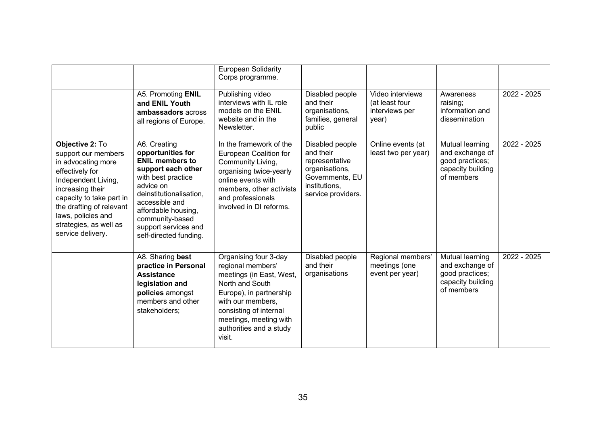|                                                                                                                                                                                                                                                         |                                                                                                                                                                                                                                                               | <b>European Solidarity</b><br>Corps programme.                                                                                                                                                                                     |                                                                                                                            |                                                               |                                                                                          |             |
|---------------------------------------------------------------------------------------------------------------------------------------------------------------------------------------------------------------------------------------------------------|---------------------------------------------------------------------------------------------------------------------------------------------------------------------------------------------------------------------------------------------------------------|------------------------------------------------------------------------------------------------------------------------------------------------------------------------------------------------------------------------------------|----------------------------------------------------------------------------------------------------------------------------|---------------------------------------------------------------|------------------------------------------------------------------------------------------|-------------|
|                                                                                                                                                                                                                                                         | A5. Promoting ENIL<br>and ENIL Youth<br>ambassadors across<br>all regions of Europe.                                                                                                                                                                          | Publishing video<br>interviews with IL role<br>models on the ENIL<br>website and in the<br>Newsletter.                                                                                                                             | Disabled people<br>and their<br>organisations,<br>families, general<br>public                                              | Video interviews<br>(at least four<br>interviews per<br>year) | Awareness<br>raising;<br>information and<br>dissemination                                | 2022 - 2025 |
| Objective 2: To<br>support our members<br>in advocating more<br>effectively for<br>Independent Living,<br>increasing their<br>capacity to take part in<br>the drafting of relevant<br>laws, policies and<br>strategies, as well as<br>service delivery. | A6. Creating<br>opportunities for<br><b>ENIL members to</b><br>support each other<br>with best practice<br>advice on<br>deinstitutionalisation,<br>accessible and<br>affordable housing,<br>community-based<br>support services and<br>self-directed funding. | In the framework of the<br>European Coalition for<br>Community Living,<br>organising twice-yearly<br>online events with<br>members, other activists<br>and professionals<br>involved in DI reforms.                                | Disabled people<br>and their<br>representative<br>organisations,<br>Governments, EU<br>institutions,<br>service providers. | Online events (at<br>least two per year)                      | Mutual learning<br>and exchange of<br>good practices;<br>capacity building<br>of members | 2022 - 2025 |
|                                                                                                                                                                                                                                                         | A8. Sharing best<br>practice in Personal<br><b>Assistance</b><br>legislation and<br>policies amongst<br>members and other<br>stakeholders;                                                                                                                    | Organising four 3-day<br>regional members'<br>meetings (in East, West,<br>North and South<br>Europe), in partnership<br>with our members,<br>consisting of internal<br>meetings, meeting with<br>authorities and a study<br>visit. | Disabled people<br>and their<br>organisations                                                                              | Regional members'<br>meetings (one<br>event per year)         | Mutual learning<br>and exchange of<br>good practices;<br>capacity building<br>of members | 2022 - 2025 |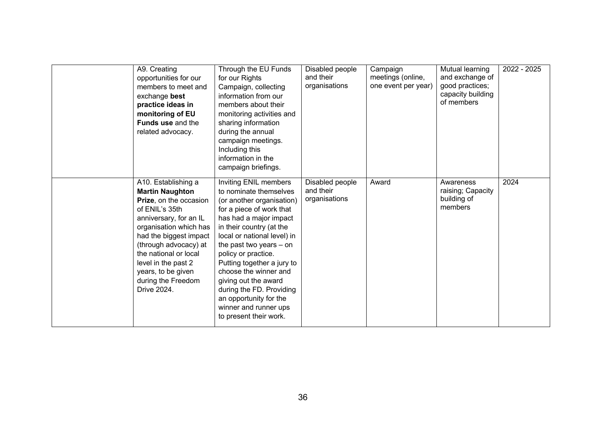| A9. Creating<br>opportunities for our<br>members to meet and<br>exchange best<br>practice ideas in<br>monitoring of EU<br>Funds use and the<br>related advocacy.                                                                                                                                                   | Through the EU Funds<br>for our Rights<br>Campaign, collecting<br>information from our<br>members about their<br>monitoring activities and<br>sharing information<br>during the annual<br>campaign meetings.<br>Including this<br>information in the<br>campaign briefings.                                                                                                                                                             | Disabled people<br>and their<br>organisations | Campaign<br>meetings (online,<br>one event per year) | Mutual learning<br>and exchange of<br>good practices;<br>capacity building<br>of members | 2022 - 2025 |
|--------------------------------------------------------------------------------------------------------------------------------------------------------------------------------------------------------------------------------------------------------------------------------------------------------------------|-----------------------------------------------------------------------------------------------------------------------------------------------------------------------------------------------------------------------------------------------------------------------------------------------------------------------------------------------------------------------------------------------------------------------------------------|-----------------------------------------------|------------------------------------------------------|------------------------------------------------------------------------------------------|-------------|
| A10. Establishing a<br><b>Martin Naughton</b><br>Prize, on the occasion<br>of ENIL's 35th<br>anniversary, for an IL<br>organisation which has<br>had the biggest impact<br>(through advocacy) at<br>the national or local<br>level in the past 2<br>years, to be given<br>during the Freedom<br><b>Drive 2024.</b> | Inviting ENIL members<br>to nominate themselves<br>(or another organisation)<br>for a piece of work that<br>has had a major impact<br>in their country (at the<br>local or national level) in<br>the past two years - on<br>policy or practice.<br>Putting together a jury to<br>choose the winner and<br>giving out the award<br>during the FD. Providing<br>an opportunity for the<br>winner and runner ups<br>to present their work. | Disabled people<br>and their<br>organisations | Award                                                | Awareness<br>raising; Capacity<br>building of<br>members                                 | 2024        |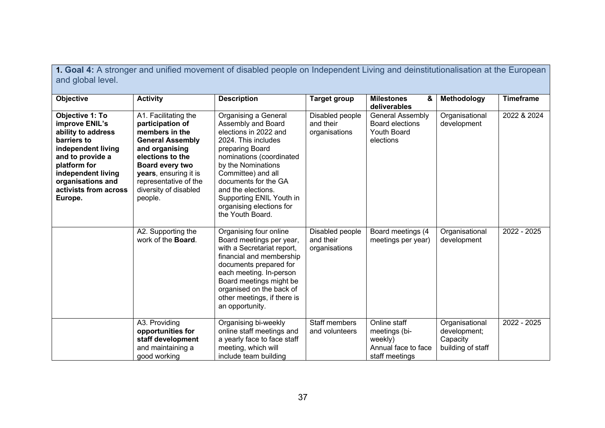**1. Goal 4:** A stronger and unified movement of disabled people on Independent Living and deinstitutionalisation at the European and global level.

| <b>Objective</b>                                                                                                                                                                                                | <b>Activity</b>                                                                                                                                                                                                                      | <b>Description</b>                                                                                                                                                                                                                                                                                              | <b>Target group</b>                           | <b>Milestones</b><br>&<br>deliverables                                            | Methodology                                                     | <b>Timeframe</b> |
|-----------------------------------------------------------------------------------------------------------------------------------------------------------------------------------------------------------------|--------------------------------------------------------------------------------------------------------------------------------------------------------------------------------------------------------------------------------------|-----------------------------------------------------------------------------------------------------------------------------------------------------------------------------------------------------------------------------------------------------------------------------------------------------------------|-----------------------------------------------|-----------------------------------------------------------------------------------|-----------------------------------------------------------------|------------------|
| Objective 1: To<br>improve ENIL's<br>ability to address<br>barriers to<br>independent living<br>and to provide a<br>platform for<br>independent living<br>organisations and<br>activists from across<br>Europe. | A1. Facilitating the<br>participation of<br>members in the<br><b>General Assembly</b><br>and organising<br>elections to the<br>Board every two<br>years, ensuring it is<br>representative of the<br>diversity of disabled<br>people. | Organising a General<br>Assembly and Board<br>elections in 2022 and<br>2024. This includes<br>preparing Board<br>nominations (coordinated<br>by the Nominations<br>Committee) and all<br>documents for the GA<br>and the elections.<br>Supporting ENIL Youth in<br>organising elections for<br>the Youth Board. | Disabled people<br>and their<br>organisations | <b>General Assembly</b><br>Board elections<br><b>Youth Board</b><br>elections     | Organisational<br>development                                   | 2022 & 2024      |
|                                                                                                                                                                                                                 | A2. Supporting the<br>work of the Board.                                                                                                                                                                                             | Organising four online<br>Board meetings per year,<br>with a Secretariat report,<br>financial and membership<br>documents prepared for<br>each meeting. In-person<br>Board meetings might be<br>organised on the back of<br>other meetings, if there is<br>an opportunity.                                      | Disabled people<br>and their<br>organisations | Board meetings (4<br>meetings per year)                                           | Organisational<br>development                                   | 2022 - 2025      |
|                                                                                                                                                                                                                 | A3. Providing<br>opportunities for<br>staff development<br>and maintaining a<br>good working                                                                                                                                         | Organising bi-weekly<br>online staff meetings and<br>a yearly face to face staff<br>meeting, which will<br>include team building                                                                                                                                                                                | <b>Staff members</b><br>and volunteers        | Online staff<br>meetings (bi-<br>weekly)<br>Annual face to face<br>staff meetings | Organisational<br>development;<br>Capacity<br>building of staff | 2022 - 2025      |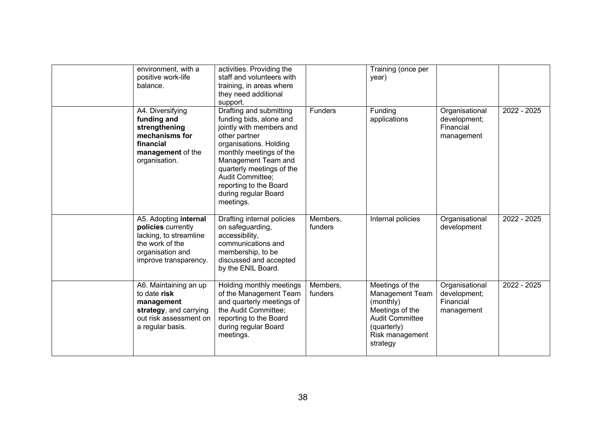| environment, with a<br>positive work-life<br>balance.                                                                                 | activities. Providing the<br>staff and volunteers with<br>training, in areas where<br>they need additional<br>support.                                                                                                                                                                      |                     | Training (once per<br>year)                                                                                                                |                                                           |             |
|---------------------------------------------------------------------------------------------------------------------------------------|---------------------------------------------------------------------------------------------------------------------------------------------------------------------------------------------------------------------------------------------------------------------------------------------|---------------------|--------------------------------------------------------------------------------------------------------------------------------------------|-----------------------------------------------------------|-------------|
| A4. Diversifying<br>funding and<br>strengthening<br>mechanisms for<br>financial<br>management of the<br>organisation.                 | Drafting and submitting<br>funding bids, alone and<br>jointly with members and<br>other partner<br>organisations. Holding<br>monthly meetings of the<br>Management Team and<br>quarterly meetings of the<br>Audit Committee;<br>reporting to the Board<br>during regular Board<br>meetings. | <b>Funders</b>      | Funding<br>applications                                                                                                                    | Organisational<br>development;<br>Financial<br>management | 2022 - 2025 |
| A5. Adopting internal<br>policies currently<br>lacking, to streamline<br>the work of the<br>organisation and<br>improve transparency. | Drafting internal policies<br>on safeguarding,<br>accessibility,<br>communications and<br>membership, to be<br>discussed and accepted<br>by the ENIL Board.                                                                                                                                 | Members,<br>funders | Internal policies                                                                                                                          | Organisational<br>development                             | 2022 - 2025 |
| A6. Maintaining an up<br>to date risk<br>management<br>strategy, and carrying<br>out risk assessment on<br>a regular basis.           | Holding monthly meetings<br>of the Management Team<br>and quarterly meetings of<br>the Audit Committee:<br>reporting to the Board<br>during regular Board<br>meetings.                                                                                                                      | Members,<br>funders | Meetings of the<br>Management Team<br>(monthly)<br>Meetings of the<br><b>Audit Committee</b><br>(quarterly)<br>Risk management<br>strategy | Organisational<br>development;<br>Financial<br>management | 2022 - 2025 |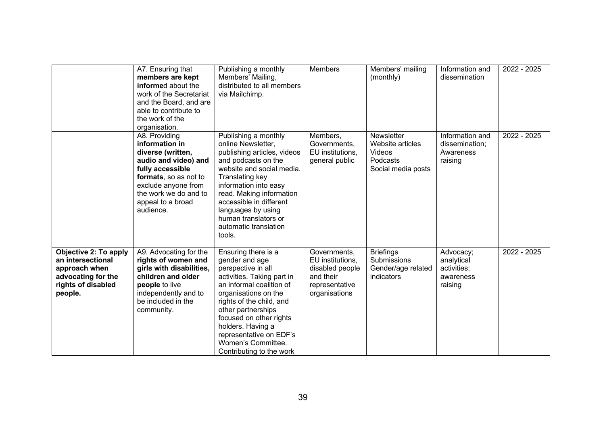|                                                                                                                           | A7. Ensuring that<br>members are kept<br>informed about the<br>work of the Secretariat<br>and the Board, and are<br>able to contribute to<br>the work of the<br>organisation.                               | Publishing a monthly<br>Members' Mailing,<br>distributed to all members<br>via Mailchimp.                                                                                                                                                                                                                                    | <b>Members</b>                                                                                      | Members' mailing<br>(monthly)                                                     | Information and<br>dissemination                               | 2022 - 2025 |
|---------------------------------------------------------------------------------------------------------------------------|-------------------------------------------------------------------------------------------------------------------------------------------------------------------------------------------------------------|------------------------------------------------------------------------------------------------------------------------------------------------------------------------------------------------------------------------------------------------------------------------------------------------------------------------------|-----------------------------------------------------------------------------------------------------|-----------------------------------------------------------------------------------|----------------------------------------------------------------|-------------|
|                                                                                                                           | A8. Providing<br>information in<br>diverse (written,<br>audio and video) and<br>fully accessible<br>formats, so as not to<br>exclude anyone from<br>the work we do and to<br>appeal to a broad<br>audience. | Publishing a monthly<br>online Newsletter,<br>publishing articles, videos<br>and podcasts on the<br>website and social media.<br>Translating key<br>information into easy<br>read. Making information<br>accessible in different<br>languages by using<br>human translators or<br>automatic translation<br>tools.            | Members,<br>Governments,<br>EU institutions,<br>general public                                      | <b>Newsletter</b><br>Website articles<br>Videos<br>Podcasts<br>Social media posts | Information and<br>dissemination;<br>Awareness<br>raising      | 2022 - 2025 |
| <b>Objective 2: To apply</b><br>an intersectional<br>approach when<br>advocating for the<br>rights of disabled<br>people. | A9. Advocating for the<br>rights of women and<br>girls with disabilities,<br>children and older<br>people to live<br>independently and to<br>be included in the<br>community.                               | Ensuring there is a<br>gender and age<br>perspective in all<br>activities. Taking part in<br>an informal coalition of<br>organisations on the<br>rights of the child, and<br>other partnerships<br>focused on other rights<br>holders. Having a<br>representative on EDF's<br>Women's Committee.<br>Contributing to the work | Governments,<br>EU institutions,<br>disabled people<br>and their<br>representative<br>organisations | <b>Briefings</b><br><b>Submissions</b><br>Gender/age related<br>indicators        | Advocacy;<br>analytical<br>activities;<br>awareness<br>raising | 2022 - 2025 |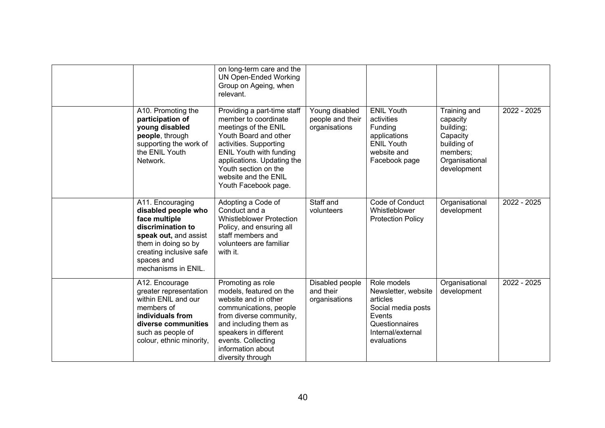|                                                                                                                                                                                               | on long-term care and the<br><b>UN Open-Ended Working</b><br>Group on Ageing, when<br>relevant.                                                                                                                                                                        |                                                     |                                                                                                                                      |                                                                                                               |             |
|-----------------------------------------------------------------------------------------------------------------------------------------------------------------------------------------------|------------------------------------------------------------------------------------------------------------------------------------------------------------------------------------------------------------------------------------------------------------------------|-----------------------------------------------------|--------------------------------------------------------------------------------------------------------------------------------------|---------------------------------------------------------------------------------------------------------------|-------------|
| A10. Promoting the<br>participation of<br>young disabled<br>people, through<br>supporting the work of<br>the ENIL Youth<br>Network.                                                           | Providing a part-time staff<br>member to coordinate<br>meetings of the ENIL<br>Youth Board and other<br>activities. Supporting<br><b>ENIL Youth with funding</b><br>applications. Updating the<br>Youth section on the<br>website and the ENIL<br>Youth Facebook page. | Young disabled<br>people and their<br>organisations | <b>ENIL Youth</b><br>activities<br>Funding<br>applications<br><b>ENIL Youth</b><br>website and<br>Facebook page                      | Training and<br>capacity<br>building;<br>Capacity<br>building of<br>members;<br>Organisational<br>development | 2022 - 2025 |
| A11. Encouraging<br>disabled people who<br>face multiple<br>discrimination to<br>speak out, and assist<br>them in doing so by<br>creating inclusive safe<br>spaces and<br>mechanisms in ENIL. | Adopting a Code of<br>Conduct and a<br><b>Whistleblower Protection</b><br>Policy, and ensuring all<br>staff members and<br>volunteers are familiar<br>with it.                                                                                                         | Staff and<br>volunteers                             | Code of Conduct<br>Whistleblower<br><b>Protection Policy</b>                                                                         | Organisational<br>development                                                                                 | 2022 - 2025 |
| A12. Encourage<br>greater representation<br>within ENIL and our<br>members of<br>individuals from<br>diverse communities<br>such as people of<br>colour, ethnic minority,                     | Promoting as role<br>models, featured on the<br>website and in other<br>communications, people<br>from diverse community,<br>and including them as<br>speakers in different<br>events. Collecting<br>information about<br>diversity through                            | Disabled people<br>and their<br>organisations       | Role models<br>Newsletter, website<br>articles<br>Social media posts<br>Events<br>Questionnaires<br>Internal/external<br>evaluations | Organisational<br>development                                                                                 | 2022 - 2025 |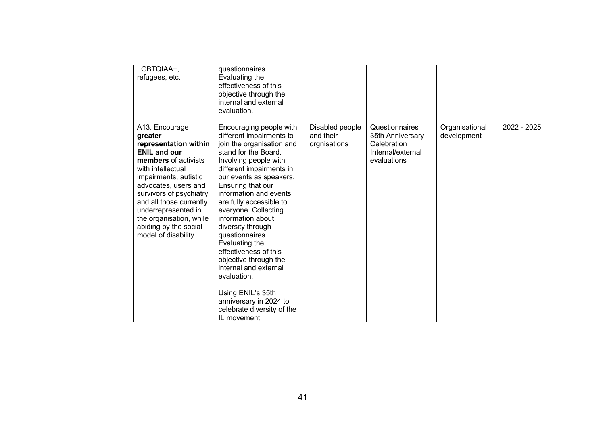| LGBTQIAA+,<br>refugees, etc.                                                                                                                                                                                                                                                                                                     | questionnaires.<br>Evaluating the<br>effectiveness of this<br>objective through the<br>internal and external<br>evaluation.                                                                                                                                                                                                                                                                                                                                                                                                                                      |                                              |                                                                                       |                               |             |
|----------------------------------------------------------------------------------------------------------------------------------------------------------------------------------------------------------------------------------------------------------------------------------------------------------------------------------|------------------------------------------------------------------------------------------------------------------------------------------------------------------------------------------------------------------------------------------------------------------------------------------------------------------------------------------------------------------------------------------------------------------------------------------------------------------------------------------------------------------------------------------------------------------|----------------------------------------------|---------------------------------------------------------------------------------------|-------------------------------|-------------|
| A13. Encourage<br>greater<br>representation within<br><b>ENIL and our</b><br>members of activists<br>with intellectual<br>impairments, autistic<br>advocates, users and<br>survivors of psychiatry<br>and all those currently<br>underrepresented in<br>the organisation, while<br>abiding by the social<br>model of disability. | Encouraging people with<br>different impairments to<br>join the organisation and<br>stand for the Board.<br>Involving people with<br>different impairments in<br>our events as speakers.<br>Ensuring that our<br>information and events<br>are fully accessible to<br>everyone. Collecting<br>information about<br>diversity through<br>questionnaires.<br>Evaluating the<br>effectiveness of this<br>objective through the<br>internal and external<br>evaluation.<br>Using ENIL's 35th<br>anniversary in 2024 to<br>celebrate diversity of the<br>IL movement. | Disabled people<br>and their<br>orgnisations | Questionnaires<br>35th Anniversary<br>Celebration<br>Internal/external<br>evaluations | Organisational<br>development | 2022 - 2025 |